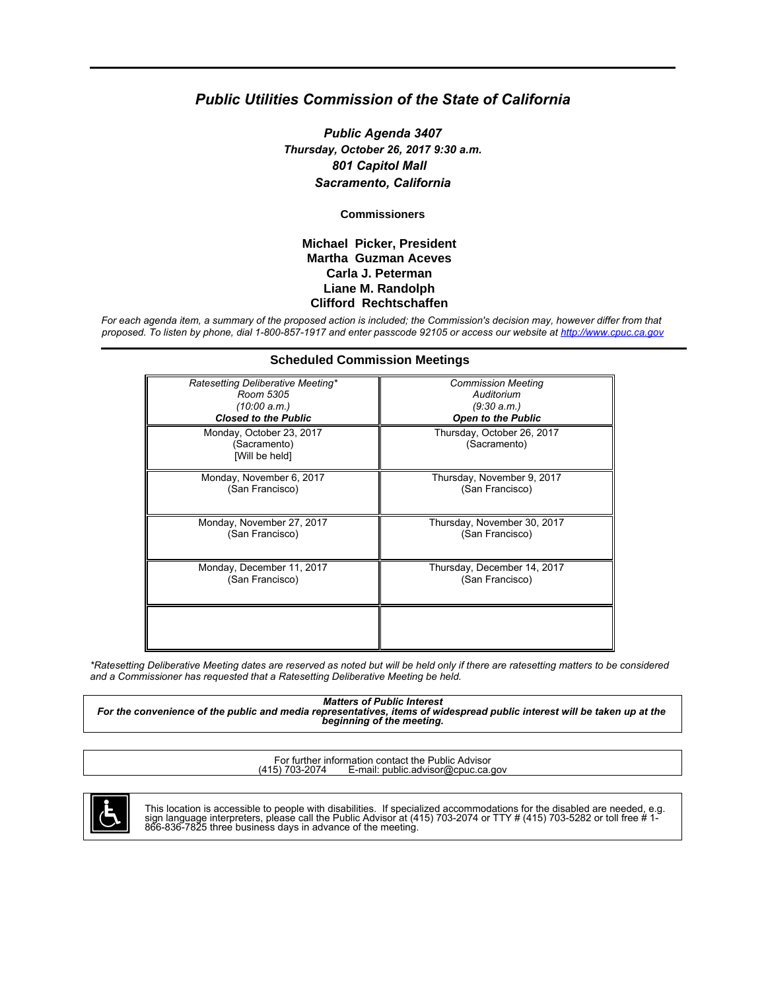#### *Public Utilities Commission of the State of California*

*Public Agenda 3407 Thursday, October 26, 2017 9:30 a.m. 801 Capitol Mall Sacramento, California*

**Commissioners**

#### **Michael Picker, President Martha Guzman Aceves Carla J. Peterman Liane M. Randolph Clifford Rechtschaffen**

*For each agenda item, a summary of the proposed action is included; the Commission's decision may, however differ from that proposed. To listen by phone, dial 1-800-857-1917 and enter passcode 92105 or access our website at<http://www.cpuc.ca.gov>*

| <b>Scheduled Commission Meetings</b>                       |                                            |
|------------------------------------------------------------|--------------------------------------------|
| Ratesetting Deliberative Meeting*                          | <b>Commission Meeting</b>                  |
| Room 5305                                                  | Auditorium                                 |
| (10:00 a.m.)                                               | (9:30 a.m.)                                |
| <b>Closed to the Public</b>                                | <b>Open to the Public</b>                  |
| Monday, October 23, 2017<br>(Sacramento)<br>[Will be held] | Thursday, October 26, 2017<br>(Sacramento) |
| Monday, November 6, 2017                                   | Thursday, November 9, 2017                 |
| (San Francisco)                                            | (San Francisco)                            |
| Monday, November 27, 2017                                  | Thursday, November 30, 2017                |
| (San Francisco)                                            | (San Francisco)                            |
| Monday, December 11, 2017                                  | Thursday, December 14, 2017                |
| (San Francisco)                                            | (San Francisco)                            |
|                                                            |                                            |

*\*Ratesetting Deliberative Meeting dates are reserved as noted but will be held only if there are ratesetting matters to be considered and a Commissioner has requested that a Ratesetting Deliberative Meeting be held.*

*Matters of Public Interest For the convenience of the public and media representatives, items of widespread public interest will be taken up at the beginning of the meeting.*

For further information contact the Public Advisor<br>(415) 703-2074 E-mail: public advisor@cpuc.ca. E-mail: public.advisor@cpuc.ca.gov



This location is accessible to people with disabilities. If specialized accommodations for the disabled are needed, e.g.<br>sign language interpreters, please call the Public Advisor at (415) 703-2074 or TTY # (415) 703-5282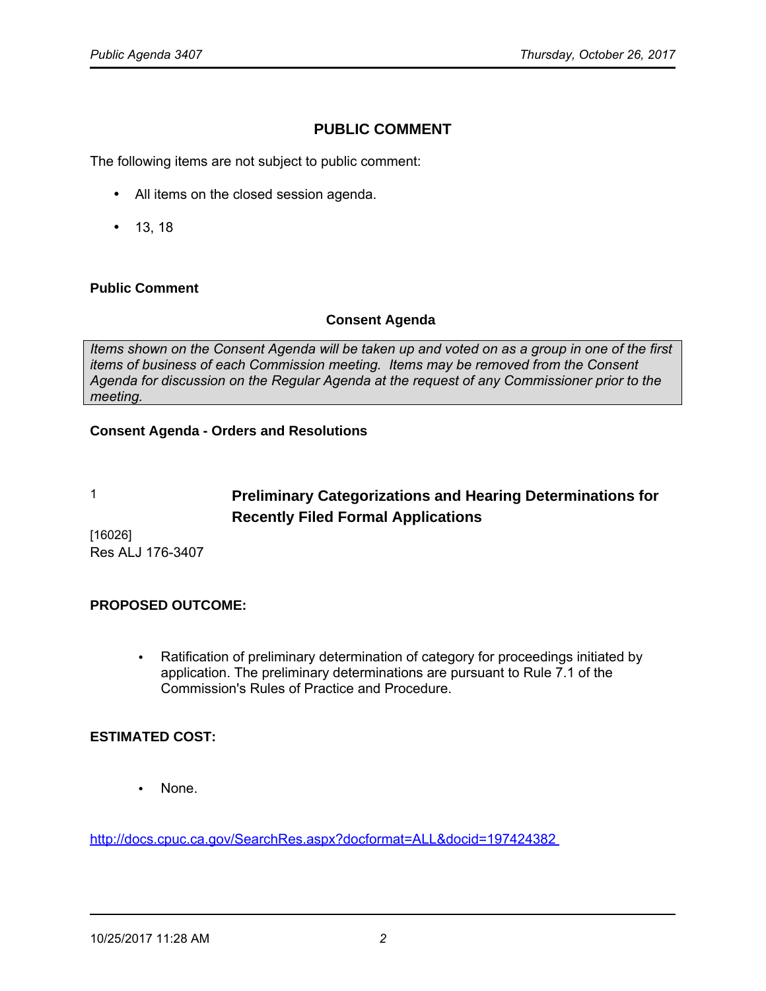# **PUBLIC COMMENT**

The following items are not subject to public comment:

- All items on the closed session agenda.
- 13, 18

#### **Public Comment**

#### **Consent Agenda**

*Items shown on the Consent Agenda will be taken up and voted on as a group in one of the first items of business of each Commission meeting. Items may be removed from the Consent Agenda for discussion on the Regular Agenda at the request of any Commissioner prior to the meeting.*

#### **Consent Agenda - Orders and Resolutions**

# 1 **Preliminary Categorizations and Hearing Determinations for Recently Filed Formal Applications**

[16026] Res ALJ 176-3407

### **PROPOSED OUTCOME:**

• Ratification of preliminary determination of category for proceedings initiated by application. The preliminary determinations are pursuant to Rule 7.1 of the Commission's Rules of Practice and Procedure.

### **ESTIMATED COST:**

• None.

<http://docs.cpuc.ca.gov/SearchRes.aspx?docformat=ALL&docid=197424382>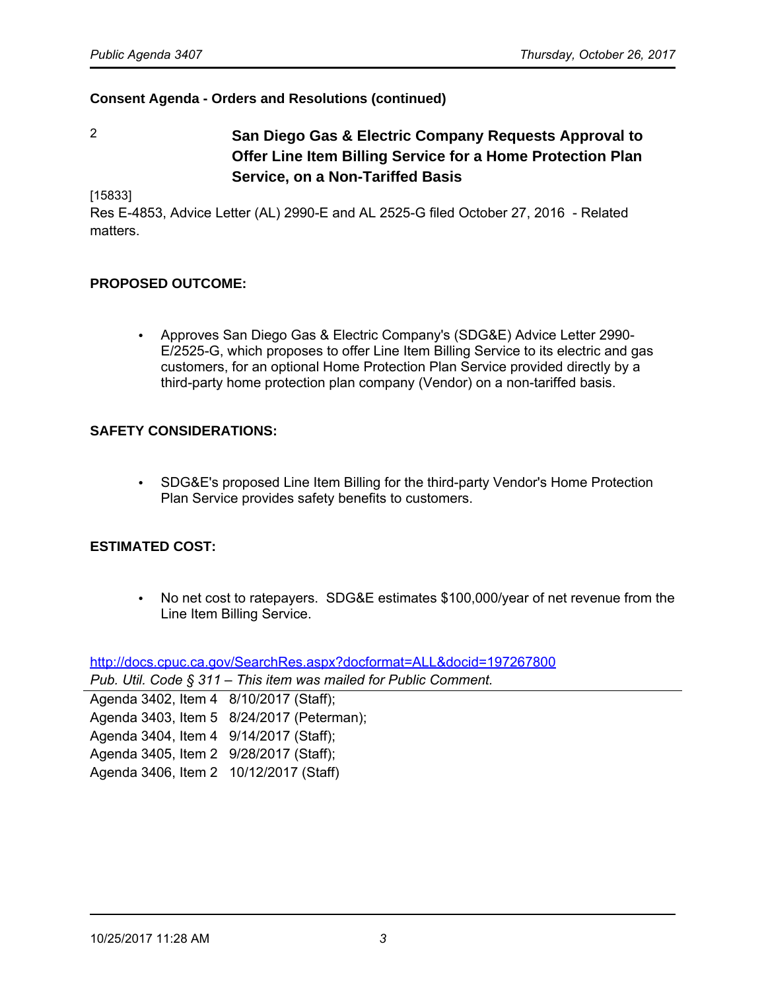2 **San Diego Gas & Electric Company Requests Approval to Offer Line Item Billing Service for a Home Protection Plan Service, on a Non-Tariffed Basis**

[15833]

Res E-4853, Advice Letter (AL) 2990-E and AL 2525-G filed October 27, 2016 - Related matters.

#### **PROPOSED OUTCOME:**

• Approves San Diego Gas & Electric Company's (SDG&E) Advice Letter 2990- E/2525-G, which proposes to offer Line Item Billing Service to its electric and gas customers, for an optional Home Protection Plan Service provided directly by a third-party home protection plan company (Vendor) on a non-tariffed basis.

#### **SAFETY CONSIDERATIONS:**

• SDG&E's proposed Line Item Billing for the third-party Vendor's Home Protection Plan Service provides safety benefits to customers.

#### **ESTIMATED COST:**

• No net cost to ratepayers. SDG&E estimates \$100,000/year of net revenue from the Line Item Billing Service.

<http://docs.cpuc.ca.gov/SearchRes.aspx?docformat=ALL&docid=197267800>

*Pub. Util. Code § 311* – *This item was mailed for Public Comment.*

| Agenda 3402, Item 4 8/10/2017 (Staff); |                                           |
|----------------------------------------|-------------------------------------------|
|                                        | Agenda 3403, Item 5 8/24/2017 (Peterman); |
| Agenda 3404, Item 4 9/14/2017 (Staff); |                                           |
| Agenda 3405, Item 2 9/28/2017 (Staff); |                                           |
| Agenda 3406, Item 2 10/12/2017 (Staff) |                                           |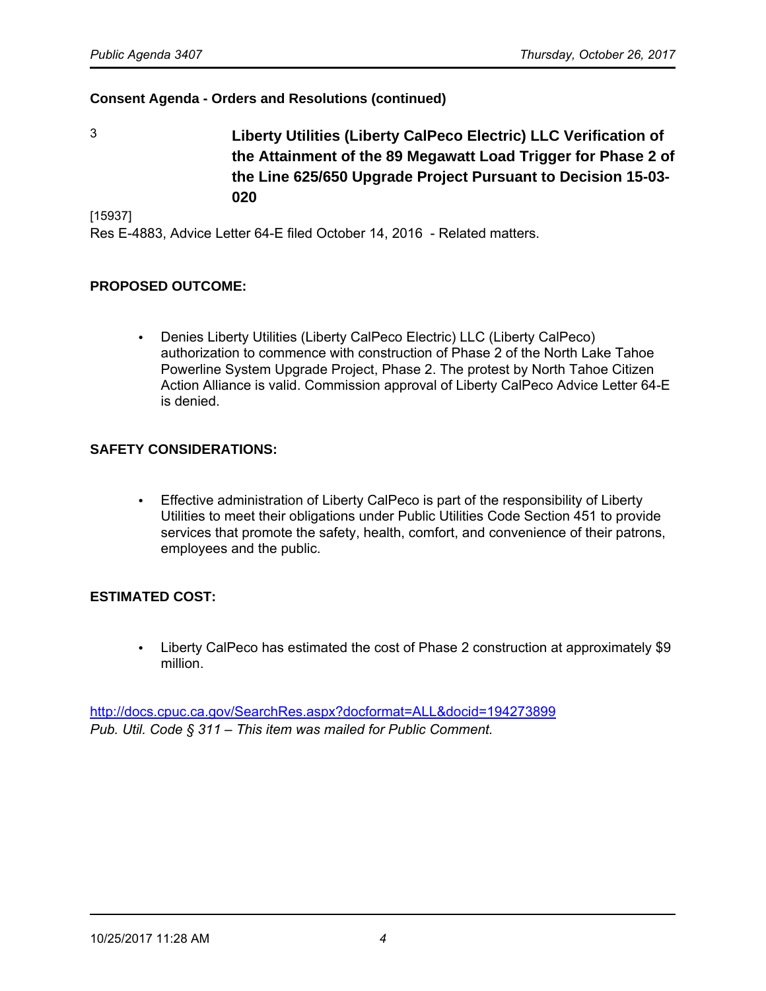3 **Liberty Utilities (Liberty CalPeco Electric) LLC Verification of the Attainment of the 89 Megawatt Load Trigger for Phase 2 of the Line 625/650 Upgrade Project Pursuant to Decision 15-03- 020**

[15937]

Res E-4883, Advice Letter 64-E filed October 14, 2016 - Related matters.

# **PROPOSED OUTCOME:**

• Denies Liberty Utilities (Liberty CalPeco Electric) LLC (Liberty CalPeco) authorization to commence with construction of Phase 2 of the North Lake Tahoe Powerline System Upgrade Project, Phase 2. The protest by North Tahoe Citizen Action Alliance is valid. Commission approval of Liberty CalPeco Advice Letter 64-E is denied.

# **SAFETY CONSIDERATIONS:**

• Effective administration of Liberty CalPeco is part of the responsibility of Liberty Utilities to meet their obligations under Public Utilities Code Section 451 to provide services that promote the safety, health, comfort, and convenience of their patrons, employees and the public.

### **ESTIMATED COST:**

• Liberty CalPeco has estimated the cost of Phase 2 construction at approximately \$9 million.

<http://docs.cpuc.ca.gov/SearchRes.aspx?docformat=ALL&docid=194273899> *Pub. Util. Code § 311* – *This item was mailed for Public Comment.*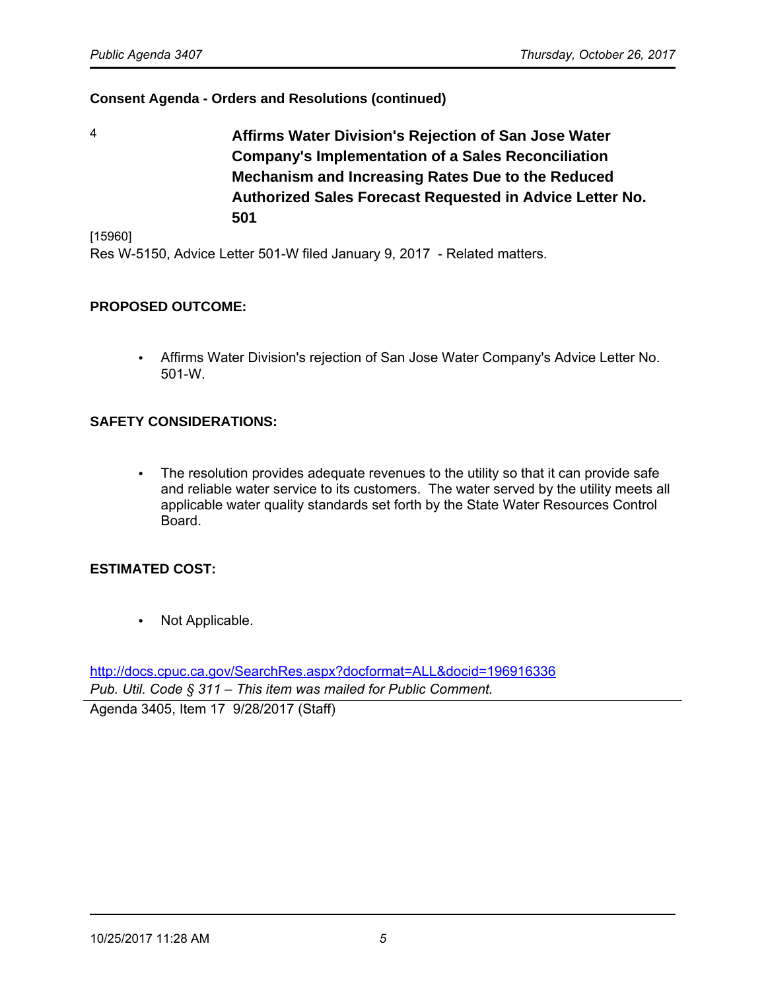4 **Affirms Water Division's Rejection of San Jose Water Company's Implementation of a Sales Reconciliation Mechanism and Increasing Rates Due to the Reduced Authorized Sales Forecast Requested in Advice Letter No. 501**

[15960]

Res W-5150, Advice Letter 501-W filed January 9, 2017 - Related matters.

#### **PROPOSED OUTCOME:**

• Affirms Water Division's rejection of San Jose Water Company's Advice Letter No. 501-W.

#### **SAFETY CONSIDERATIONS:**

• The resolution provides adequate revenues to the utility so that it can provide safe and reliable water service to its customers. The water served by the utility meets all applicable water quality standards set forth by the State Water Resources Control Board.

#### **ESTIMATED COST:**

• Not Applicable.

<http://docs.cpuc.ca.gov/SearchRes.aspx?docformat=ALL&docid=196916336> *Pub. Util. Code § 311* – *This item was mailed for Public Comment.*

Agenda 3405, Item 17 9/28/2017 (Staff)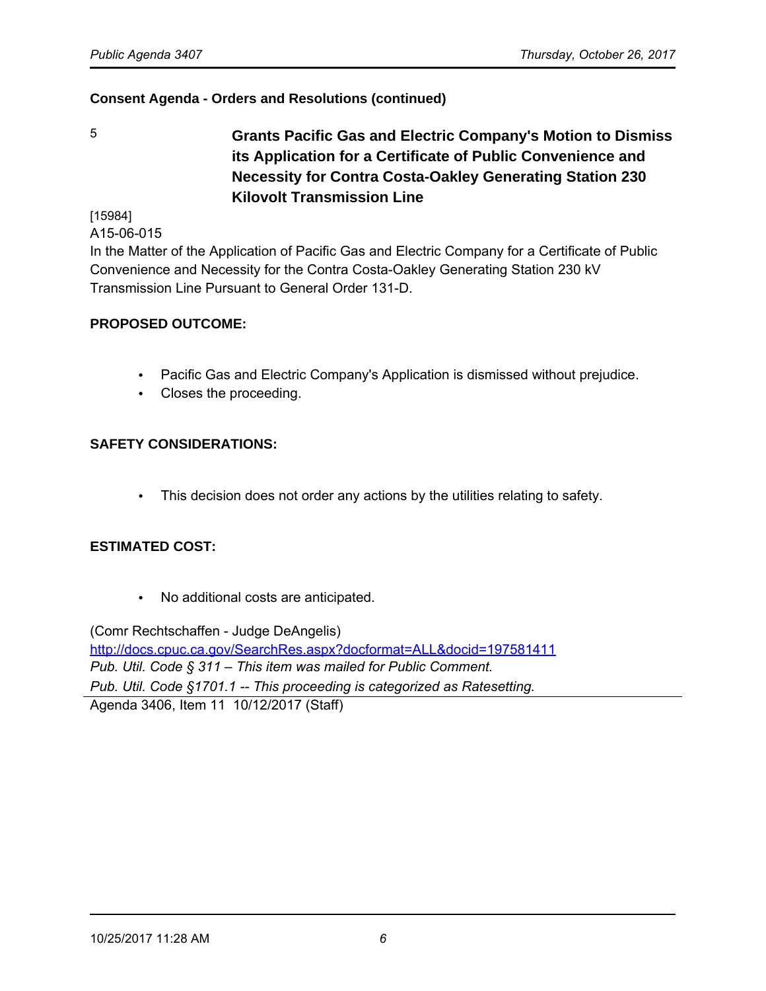5 **Grants Pacific Gas and Electric Company's Motion to Dismiss its Application for a Certificate of Public Convenience and Necessity for Contra Costa-Oakley Generating Station 230 Kilovolt Transmission Line**

[15984]

A15-06-015

In the Matter of the Application of Pacific Gas and Electric Company for a Certificate of Public Convenience and Necessity for the Contra Costa-Oakley Generating Station 230 kV Transmission Line Pursuant to General Order 131-D.

# **PROPOSED OUTCOME:**

- Pacific Gas and Electric Company's Application is dismissed without prejudice.
- Closes the proceeding.

# **SAFETY CONSIDERATIONS:**

• This decision does not order any actions by the utilities relating to safety.

### **ESTIMATED COST:**

• No additional costs are anticipated.

(Comr Rechtschaffen - Judge DeAngelis) <http://docs.cpuc.ca.gov/SearchRes.aspx?docformat=ALL&docid=197581411> *Pub. Util. Code § 311* – *This item was mailed for Public Comment. Pub. Util. Code §1701.1 -- This proceeding is categorized as Ratesetting.* Agenda 3406, Item 11 10/12/2017 (Staff)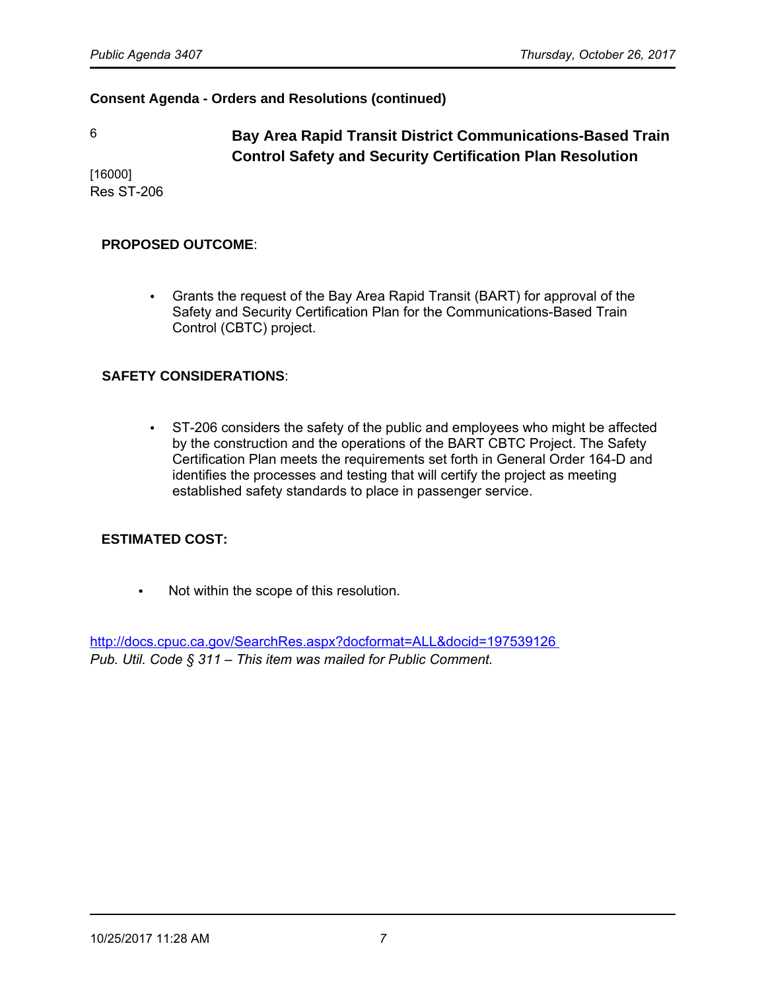6 **Bay Area Rapid Transit District Communications-Based Train Control Safety and Security Certification Plan Resolution**

[16000] Res ST-206

#### **PROPOSED OUTCOME**:

• Grants the request of the Bay Area Rapid Transit (BART) for approval of the Safety and Security Certification Plan for the Communications-Based Train Control (CBTC) project.

#### **SAFETY CONSIDERATIONS**:

• ST-206 considers the safety of the public and employees who might be affected by the construction and the operations of the BART CBTC Project. The Safety Certification Plan meets the requirements set forth in General Order 164-D and identifies the processes and testing that will certify the project as meeting established safety standards to place in passenger service.

### **ESTIMATED COST:**

• Not within the scope of this resolution.

<http://docs.cpuc.ca.gov/SearchRes.aspx?docformat=ALL&docid=197539126> *Pub. Util. Code § 311* – *This item was mailed for Public Comment.*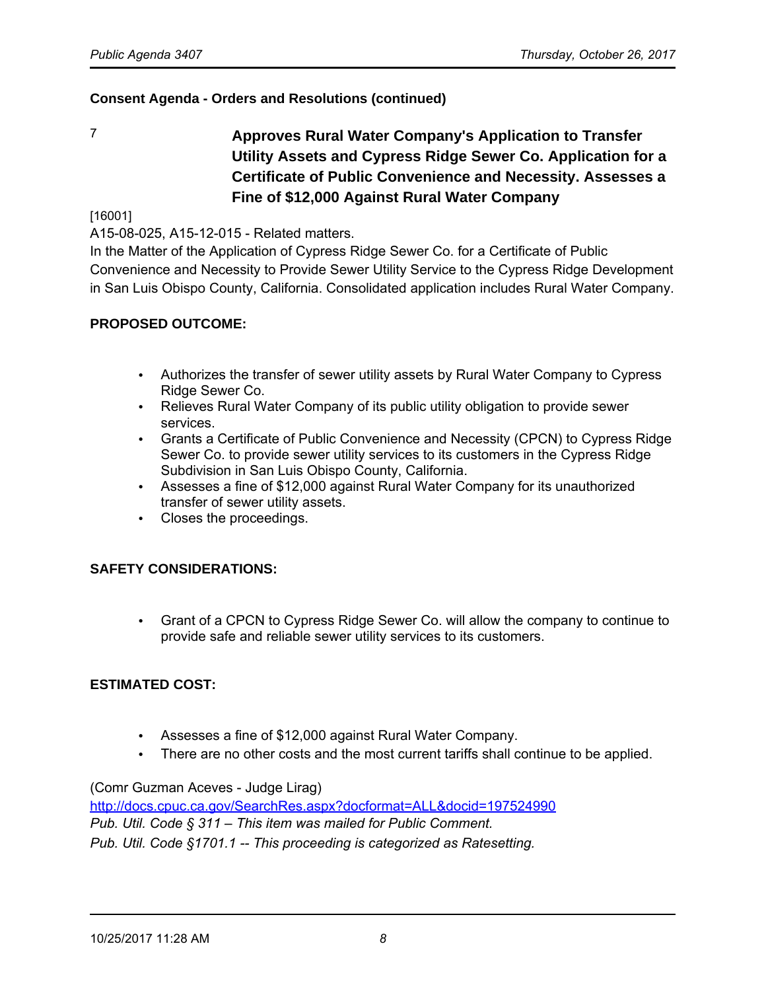7 **Approves Rural Water Company's Application to Transfer Utility Assets and Cypress Ridge Sewer Co. Application for a Certificate of Public Convenience and Necessity. Assesses a Fine of \$12,000 Against Rural Water Company**

#### [16001]

A15-08-025, A15-12-015 - Related matters.

In the Matter of the Application of Cypress Ridge Sewer Co. for a Certificate of Public Convenience and Necessity to Provide Sewer Utility Service to the Cypress Ridge Development in San Luis Obispo County, California. Consolidated application includes Rural Water Company.

### **PROPOSED OUTCOME:**

- Authorizes the transfer of sewer utility assets by Rural Water Company to Cypress Ridge Sewer Co.
- Relieves Rural Water Company of its public utility obligation to provide sewer services.
- Grants a Certificate of Public Convenience and Necessity (CPCN) to Cypress Ridge Sewer Co. to provide sewer utility services to its customers in the Cypress Ridge Subdivision in San Luis Obispo County, California.
- Assesses a fine of \$12,000 against Rural Water Company for its unauthorized transfer of sewer utility assets.
- Closes the proceedings.

### **SAFETY CONSIDERATIONS:**

• Grant of a CPCN to Cypress Ridge Sewer Co. will allow the company to continue to provide safe and reliable sewer utility services to its customers.

### **ESTIMATED COST:**

- Assesses a fine of \$12,000 against Rural Water Company.
- There are no other costs and the most current tariffs shall continue to be applied.

(Comr Guzman Aceves - Judge Lirag)

<http://docs.cpuc.ca.gov/SearchRes.aspx?docformat=ALL&docid=197524990> *Pub. Util. Code § 311* – *This item was mailed for Public Comment. Pub. Util. Code §1701.1 -- This proceeding is categorized as Ratesetting.*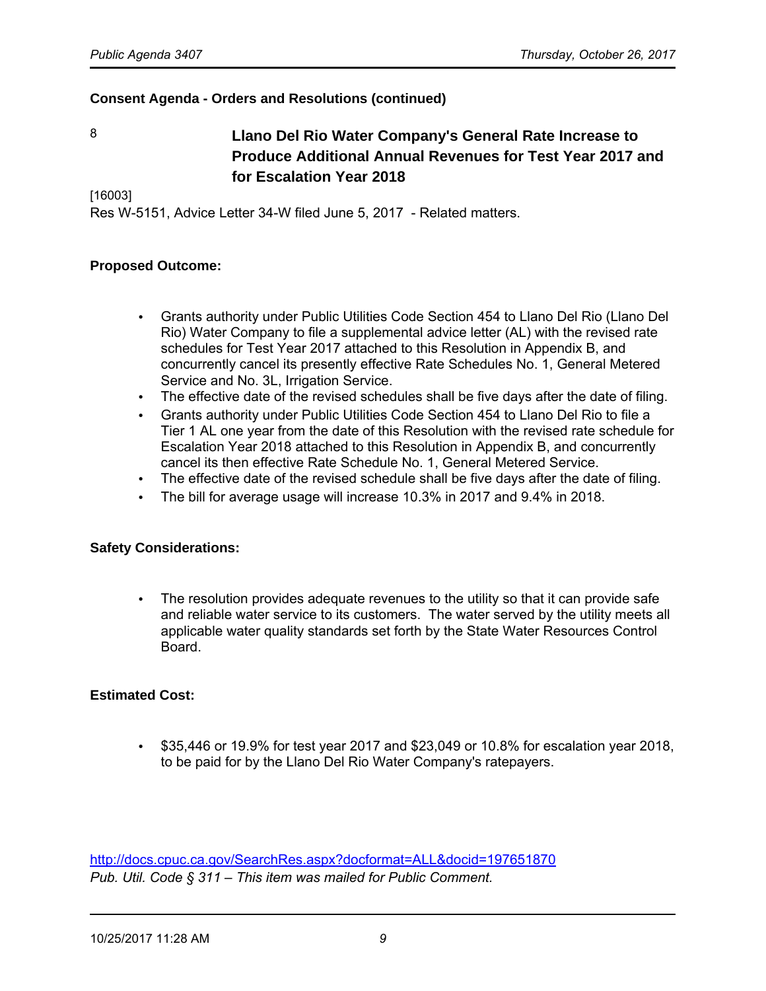8 **Llano Del Rio Water Company's General Rate Increase to Produce Additional Annual Revenues for Test Year 2017 and for Escalation Year 2018**

[16003]

Res W-5151, Advice Letter 34-W filed June 5, 2017 - Related matters.

#### **Proposed Outcome:**

- Grants authority under Public Utilities Code Section 454 to Llano Del Rio (Llano Del Rio) Water Company to file a supplemental advice letter (AL) with the revised rate schedules for Test Year 2017 attached to this Resolution in Appendix B, and concurrently cancel its presently effective Rate Schedules No. 1, General Metered Service and No. 3L, Irrigation Service.
- The effective date of the revised schedules shall be five days after the date of filing.
- Grants authority under Public Utilities Code Section 454 to Llano Del Rio to file a Tier 1 AL one year from the date of this Resolution with the revised rate schedule for Escalation Year 2018 attached to this Resolution in Appendix B, and concurrently cancel its then effective Rate Schedule No. 1, General Metered Service.
- The effective date of the revised schedule shall be five days after the date of filing.
- The bill for average usage will increase 10.3% in 2017 and 9.4% in 2018.

#### **Safety Considerations:**

• The resolution provides adequate revenues to the utility so that it can provide safe and reliable water service to its customers. The water served by the utility meets all applicable water quality standards set forth by the State Water Resources Control Board.

#### **Estimated Cost:**

• \$35,446 or 19.9% for test year 2017 and \$23,049 or 10.8% for escalation year 2018, to be paid for by the Llano Del Rio Water Company's ratepayers.

<http://docs.cpuc.ca.gov/SearchRes.aspx?docformat=ALL&docid=197651870> *Pub. Util. Code § 311* – *This item was mailed for Public Comment.*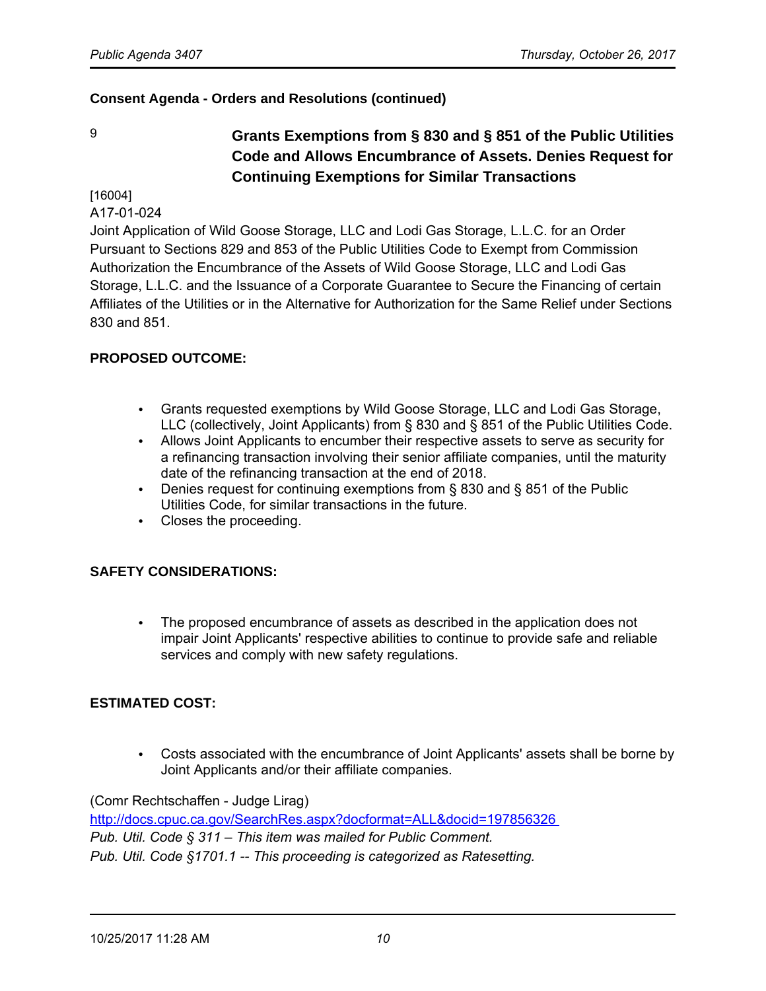# 9 **Grants Exemptions from § 830 and § 851 of the Public Utilities Code and Allows Encumbrance of Assets. Denies Request for Continuing Exemptions for Similar Transactions**

[16004]

A17-01-024

Joint Application of Wild Goose Storage, LLC and Lodi Gas Storage, L.L.C. for an Order Pursuant to Sections 829 and 853 of the Public Utilities Code to Exempt from Commission Authorization the Encumbrance of the Assets of Wild Goose Storage, LLC and Lodi Gas Storage, L.L.C. and the Issuance of a Corporate Guarantee to Secure the Financing of certain Affiliates of the Utilities or in the Alternative for Authorization for the Same Relief under Sections 830 and 851.

# **PROPOSED OUTCOME:**

- Grants requested exemptions by Wild Goose Storage, LLC and Lodi Gas Storage, LLC (collectively, Joint Applicants) from § 830 and § 851 of the Public Utilities Code.
- Allows Joint Applicants to encumber their respective assets to serve as security for a refinancing transaction involving their senior affiliate companies, until the maturity date of the refinancing transaction at the end of 2018.
- Denies request for continuing exemptions from § 830 and § 851 of the Public Utilities Code, for similar transactions in the future.
- Closes the proceeding.

### **SAFETY CONSIDERATIONS:**

• The proposed encumbrance of assets as described in the application does not impair Joint Applicants' respective abilities to continue to provide safe and reliable services and comply with new safety regulations.

### **ESTIMATED COST:**

• Costs associated with the encumbrance of Joint Applicants' assets shall be borne by Joint Applicants and/or their affiliate companies.

#### (Comr Rechtschaffen - Judge Lirag)

<http://docs.cpuc.ca.gov/SearchRes.aspx?docformat=ALL&docid=197856326> *Pub. Util. Code § 311* – *This item was mailed for Public Comment. Pub. Util. Code §1701.1 -- This proceeding is categorized as Ratesetting.*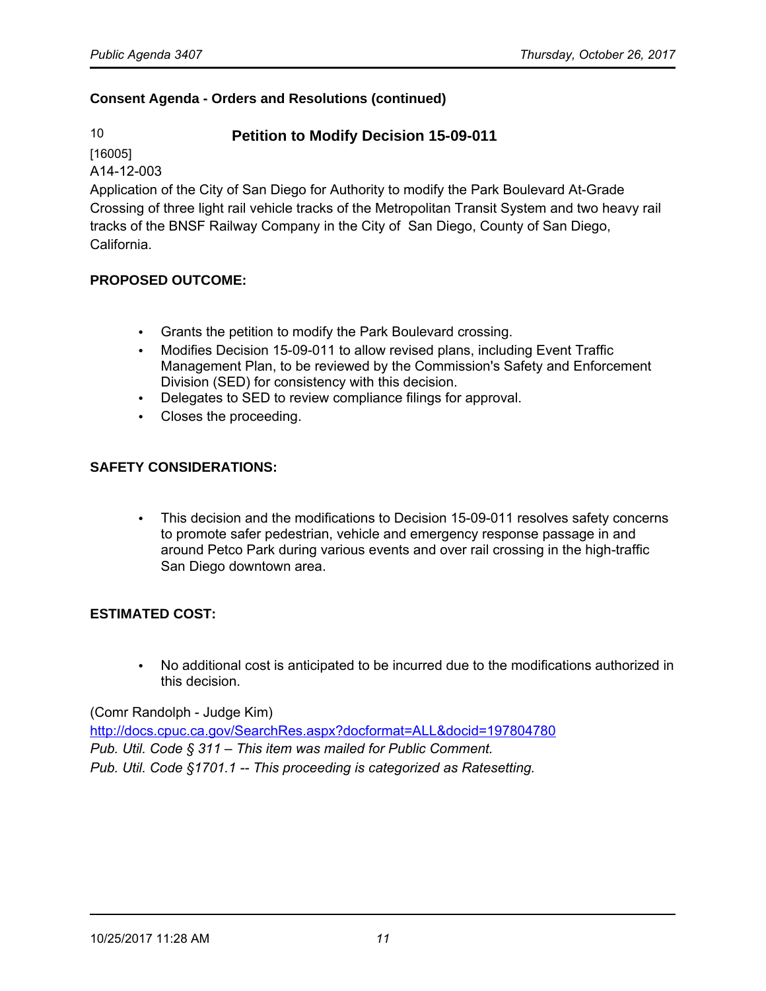# 10 **Petition to Modify Decision 15-09-011**

[16005]

A14-12-003

Application of the City of San Diego for Authority to modify the Park Boulevard At-Grade Crossing of three light rail vehicle tracks of the Metropolitan Transit System and two heavy rail tracks of the BNSF Railway Company in the City of San Diego, County of San Diego, California.

### **PROPOSED OUTCOME:**

- Grants the petition to modify the Park Boulevard crossing.
- Modifies Decision 15-09-011 to allow revised plans, including Event Traffic Management Plan, to be reviewed by the Commission's Safety and Enforcement Division (SED) for consistency with this decision.
- Delegates to SED to review compliance filings for approval.
- Closes the proceeding.

# **SAFETY CONSIDERATIONS:**

• This decision and the modifications to Decision 15-09-011 resolves safety concerns to promote safer pedestrian, vehicle and emergency response passage in and around Petco Park during various events and over rail crossing in the high-traffic San Diego downtown area.

### **ESTIMATED COST:**

• No additional cost is anticipated to be incurred due to the modifications authorized in this decision.

(Comr Randolph - Judge Kim)

<http://docs.cpuc.ca.gov/SearchRes.aspx?docformat=ALL&docid=197804780> *Pub. Util. Code § 311* – *This item was mailed for Public Comment. Pub. Util. Code §1701.1 -- This proceeding is categorized as Ratesetting.*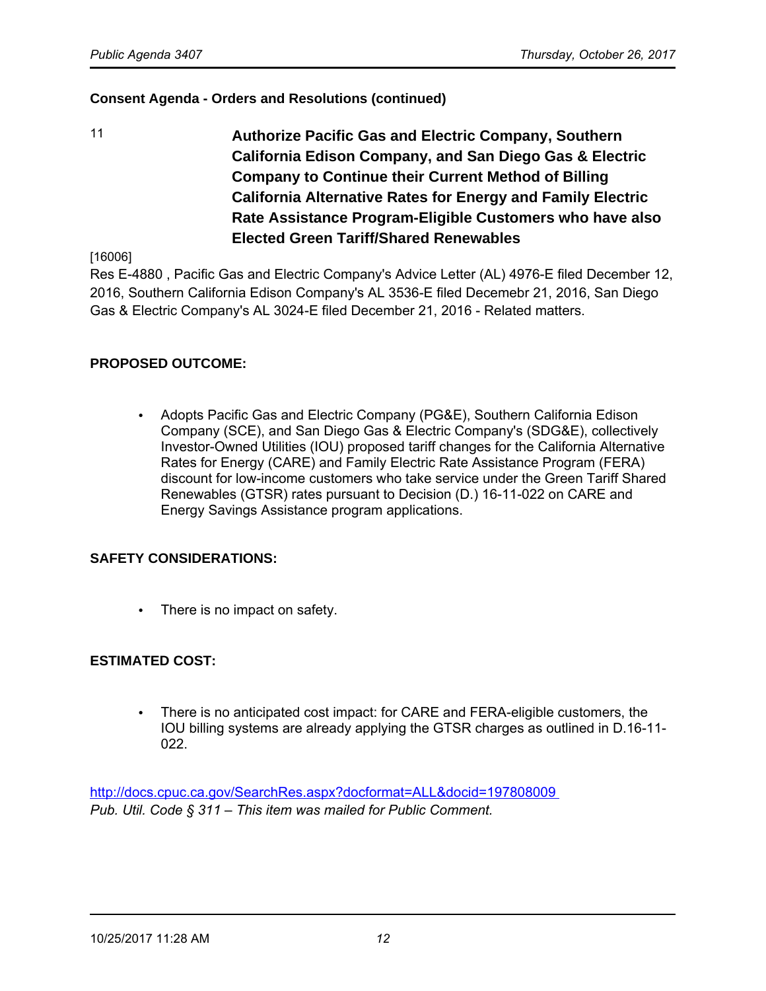11 **Authorize Pacific Gas and Electric Company, Southern California Edison Company, and San Diego Gas & Electric Company to Continue their Current Method of Billing California Alternative Rates for Energy and Family Electric Rate Assistance Program-Eligible Customers who have also Elected Green Tariff/Shared Renewables**

[16006]

Res E-4880 , Pacific Gas and Electric Company's Advice Letter (AL) 4976-E filed December 12, 2016, Southern California Edison Company's AL 3536-E filed Decemebr 21, 2016, San Diego Gas & Electric Company's AL 3024-E filed December 21, 2016 - Related matters.

### **PROPOSED OUTCOME:**

• Adopts Pacific Gas and Electric Company (PG&E), Southern California Edison Company (SCE), and San Diego Gas & Electric Company's (SDG&E), collectively Investor-Owned Utilities (IOU) proposed tariff changes for the California Alternative Rates for Energy (CARE) and Family Electric Rate Assistance Program (FERA) discount for low-income customers who take service under the Green Tariff Shared Renewables (GTSR) rates pursuant to Decision (D.) 16-11-022 on CARE and Energy Savings Assistance program applications.

### **SAFETY CONSIDERATIONS:**

There is no impact on safety.

### **ESTIMATED COST:**

• There is no anticipated cost impact: for CARE and FERA-eligible customers, the IOU billing systems are already applying the GTSR charges as outlined in D.16-11- 022.

<http://docs.cpuc.ca.gov/SearchRes.aspx?docformat=ALL&docid=197808009> *Pub. Util. Code § 311* – *This item was mailed for Public Comment.*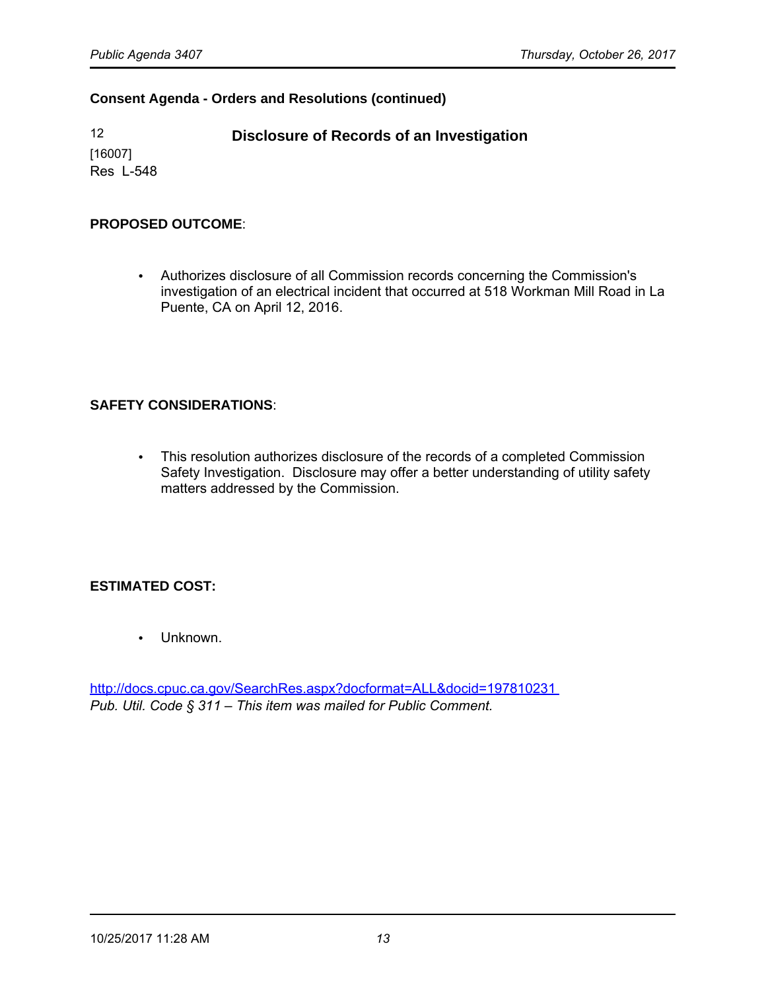12 **Disclosure of Records of an Investigation** [16007] Res L-548

#### **PROPOSED OUTCOME**:

• Authorizes disclosure of all Commission records concerning the Commission's investigation of an electrical incident that occurred at 518 Workman Mill Road in La Puente, CA on April 12, 2016.

### **SAFETY CONSIDERATIONS**:

• This resolution authorizes disclosure of the records of a completed Commission Safety Investigation. Disclosure may offer a better understanding of utility safety matters addressed by the Commission.

### **ESTIMATED COST:**

• Unknown.

<http://docs.cpuc.ca.gov/SearchRes.aspx?docformat=ALL&docid=197810231> *Pub. Util. Code § 311* – *This item was mailed for Public Comment.*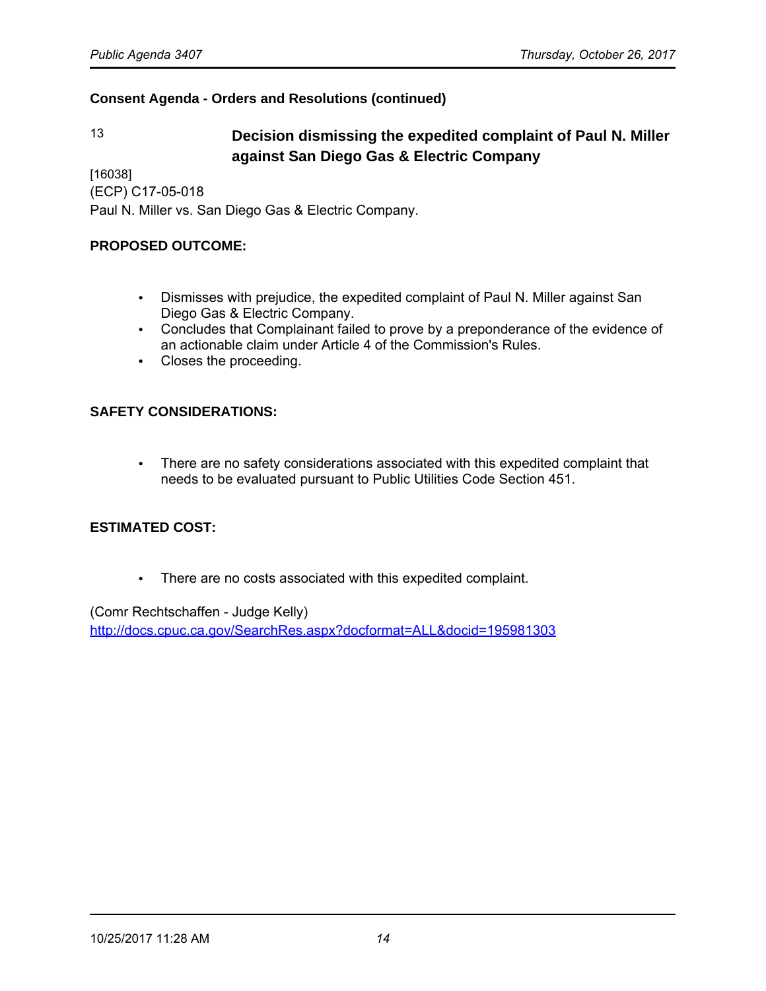# 13 **Decision dismissing the expedited complaint of Paul N. Miller against San Diego Gas & Electric Company**

[16038] (ECP) C17-05-018 Paul N. Miller vs. San Diego Gas & Electric Company.

#### **PROPOSED OUTCOME:**

- Dismisses with prejudice, the expedited complaint of Paul N. Miller against San Diego Gas & Electric Company.
- Concludes that Complainant failed to prove by a preponderance of the evidence of an actionable claim under Article 4 of the Commission's Rules.
- Closes the proceeding.

#### **SAFETY CONSIDERATIONS:**

• There are no safety considerations associated with this expedited complaint that needs to be evaluated pursuant to Public Utilities Code Section 451.

### **ESTIMATED COST:**

• There are no costs associated with this expedited complaint.

(Comr Rechtschaffen - Judge Kelly)

<http://docs.cpuc.ca.gov/SearchRes.aspx?docformat=ALL&docid=195981303>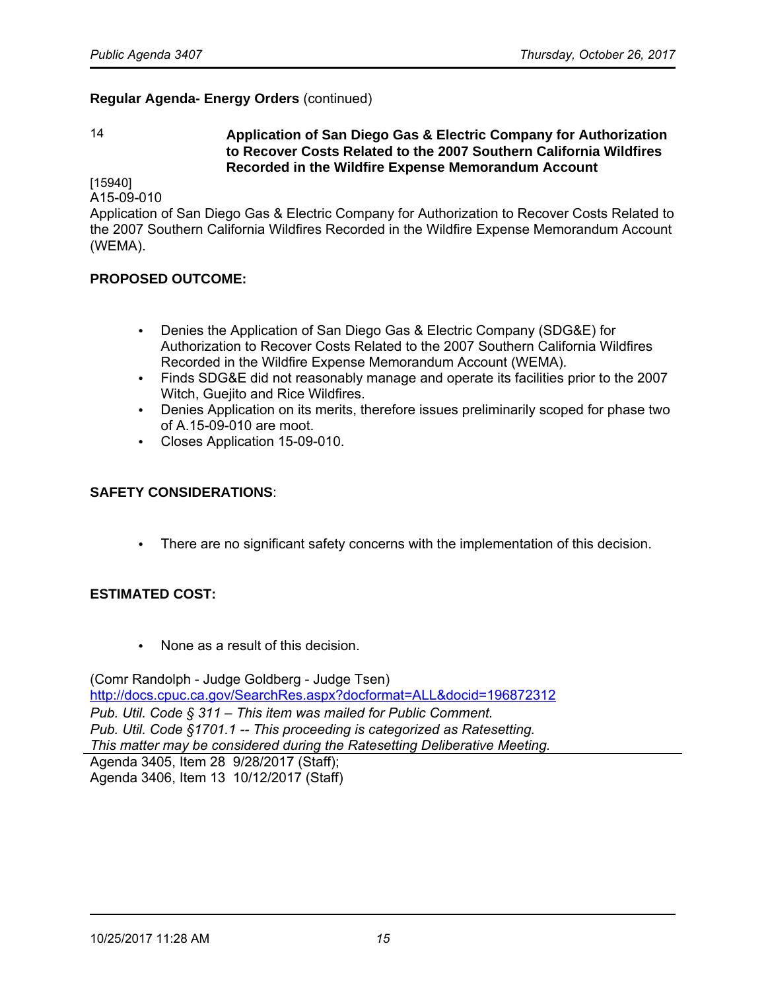#### 14 **Application of San Diego Gas & Electric Company for Authorization to Recover Costs Related to the 2007 Southern California Wildfires Recorded in the Wildfire Expense Memorandum Account**

[15940]

A15-09-010

Application of San Diego Gas & Electric Company for Authorization to Recover Costs Related to the 2007 Southern California Wildfires Recorded in the Wildfire Expense Memorandum Account (WEMA).

#### **PROPOSED OUTCOME:**

- Denies the Application of San Diego Gas & Electric Company (SDG&E) for Authorization to Recover Costs Related to the 2007 Southern California Wildfires Recorded in the Wildfire Expense Memorandum Account (WEMA).
- Finds SDG&E did not reasonably manage and operate its facilities prior to the 2007 Witch, Guejito and Rice Wildfires.
- Denies Application on its merits, therefore issues preliminarily scoped for phase two of A.15-09-010 are moot.
- Closes Application 15-09-010.

#### **SAFETY CONSIDERATIONS**:

• There are no significant safety concerns with the implementation of this decision.

### **ESTIMATED COST:**

• None as a result of this decision.

(Comr Randolph - Judge Goldberg - Judge Tsen) <http://docs.cpuc.ca.gov/SearchRes.aspx?docformat=ALL&docid=196872312> *Pub. Util. Code § 311* – *This item was mailed for Public Comment. Pub. Util. Code §1701.1 -- This proceeding is categorized as Ratesetting. This matter may be considered during the Ratesetting Deliberative Meeting.* Agenda 3405, Item 28 9/28/2017 (Staff);

Agenda 3406, Item 13 10/12/2017 (Staff)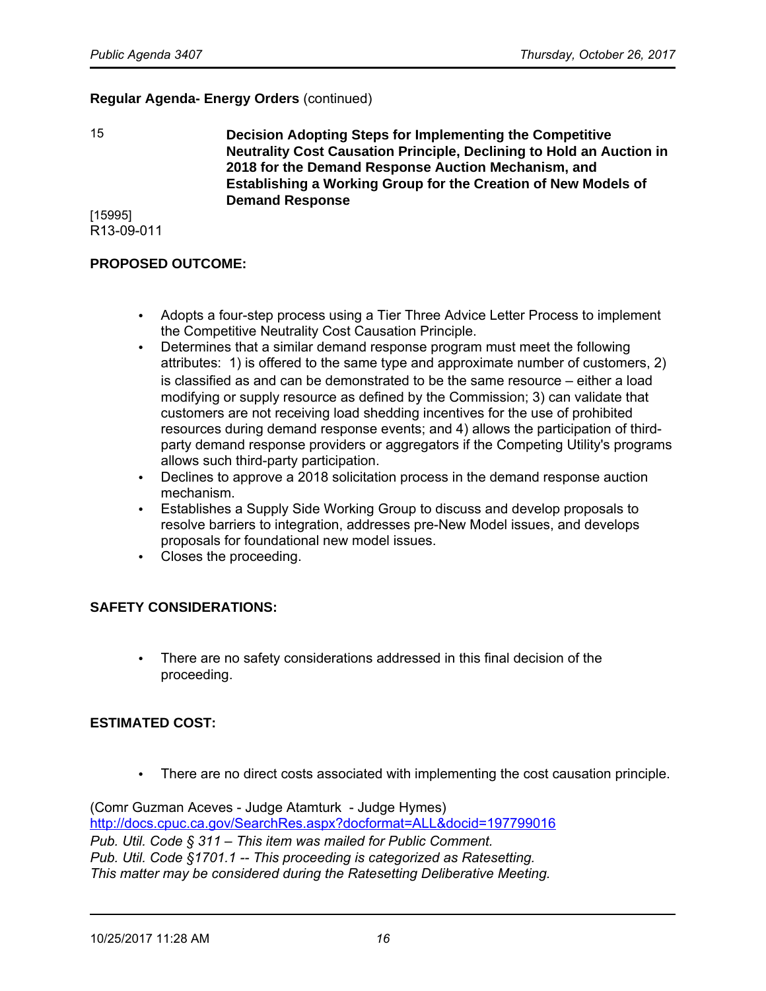15 **Decision Adopting Steps for Implementing the Competitive Neutrality Cost Causation Principle, Declining to Hold an Auction in 2018 for the Demand Response Auction Mechanism, and Establishing a Working Group for the Creation of New Models of Demand Response**

[15995] R13-09-011

#### **PROPOSED OUTCOME:**

- Adopts a four-step process using a Tier Three Advice Letter Process to implement the Competitive Neutrality Cost Causation Principle.
- Determines that a similar demand response program must meet the following attributes: 1) is offered to the same type and approximate number of customers, 2) is classified as and can be demonstrated to be the same resource – either a load modifying or supply resource as defined by the Commission; 3) can validate that customers are not receiving load shedding incentives for the use of prohibited resources during demand response events; and 4) allows the participation of thirdparty demand response providers or aggregators if the Competing Utility's programs allows such third-party participation.
- Declines to approve a 2018 solicitation process in the demand response auction mechanism.
- Establishes a Supply Side Working Group to discuss and develop proposals to resolve barriers to integration, addresses pre-New Model issues, and develops proposals for foundational new model issues.
- Closes the proceeding.

#### **SAFETY CONSIDERATIONS:**

• There are no safety considerations addressed in this final decision of the proceeding.

#### **ESTIMATED COST:**

• There are no direct costs associated with implementing the cost causation principle.

(Comr Guzman Aceves - Judge Atamturk - Judge Hymes) <http://docs.cpuc.ca.gov/SearchRes.aspx?docformat=ALL&docid=197799016> *Pub. Util. Code § 311* – *This item was mailed for Public Comment. Pub. Util. Code §1701.1 -- This proceeding is categorized as Ratesetting. This matter may be considered during the Ratesetting Deliberative Meeting.*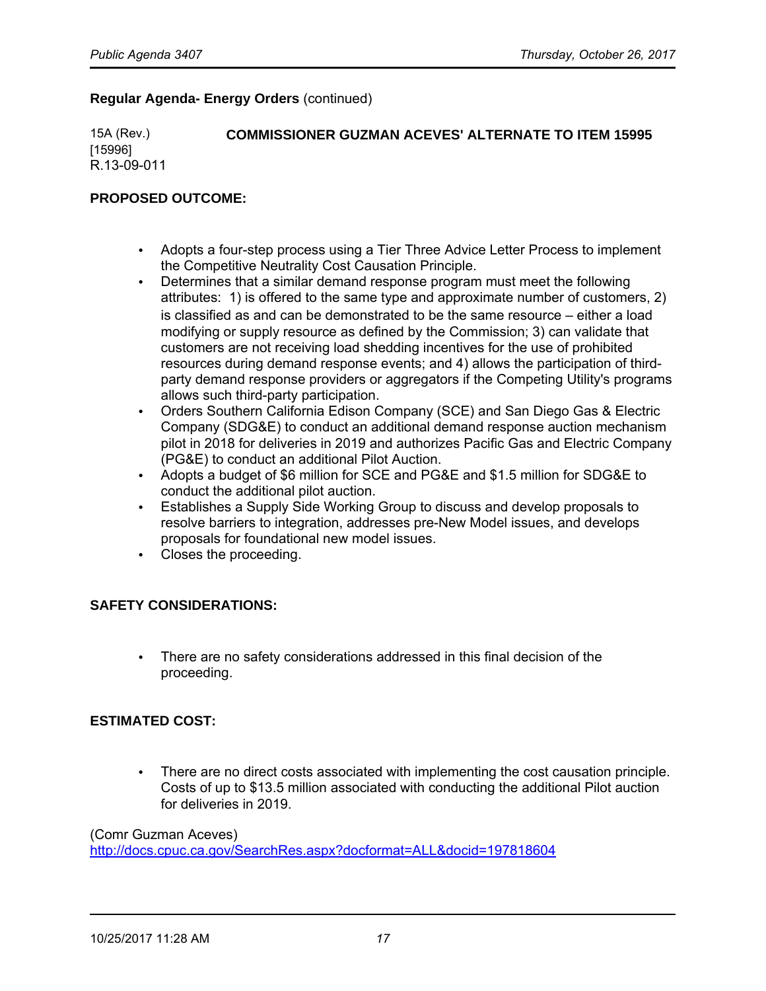15A (Rev.) **COMMISSIONER GUZMAN ACEVES' ALTERNATE TO ITEM 15995** [15996] R.13-09-011

#### **PROPOSED OUTCOME:**

- Adopts a four-step process using a Tier Three Advice Letter Process to implement the Competitive Neutrality Cost Causation Principle.
- Determines that a similar demand response program must meet the following attributes: 1) is offered to the same type and approximate number of customers, 2) is classified as and can be demonstrated to be the same resource – either a load modifying or supply resource as defined by the Commission; 3) can validate that customers are not receiving load shedding incentives for the use of prohibited resources during demand response events; and 4) allows the participation of thirdparty demand response providers or aggregators if the Competing Utility's programs allows such third-party participation.
- Orders Southern California Edison Company (SCE) and San Diego Gas & Electric Company (SDG&E) to conduct an additional demand response auction mechanism pilot in 2018 for deliveries in 2019 and authorizes Pacific Gas and Electric Company (PG&E) to conduct an additional Pilot Auction.
- Adopts a budget of \$6 million for SCE and PG&E and \$1.5 million for SDG&E to conduct the additional pilot auction.
- Establishes a Supply Side Working Group to discuss and develop proposals to resolve barriers to integration, addresses pre-New Model issues, and develops proposals for foundational new model issues.
- Closes the proceeding.

#### **SAFETY CONSIDERATIONS:**

• There are no safety considerations addressed in this final decision of the proceeding.

#### **ESTIMATED COST:**

• There are no direct costs associated with implementing the cost causation principle. Costs of up to \$13.5 million associated with conducting the additional Pilot auction for deliveries in 2019.

#### (Comr Guzman Aceves)

<http://docs.cpuc.ca.gov/SearchRes.aspx?docformat=ALL&docid=197818604>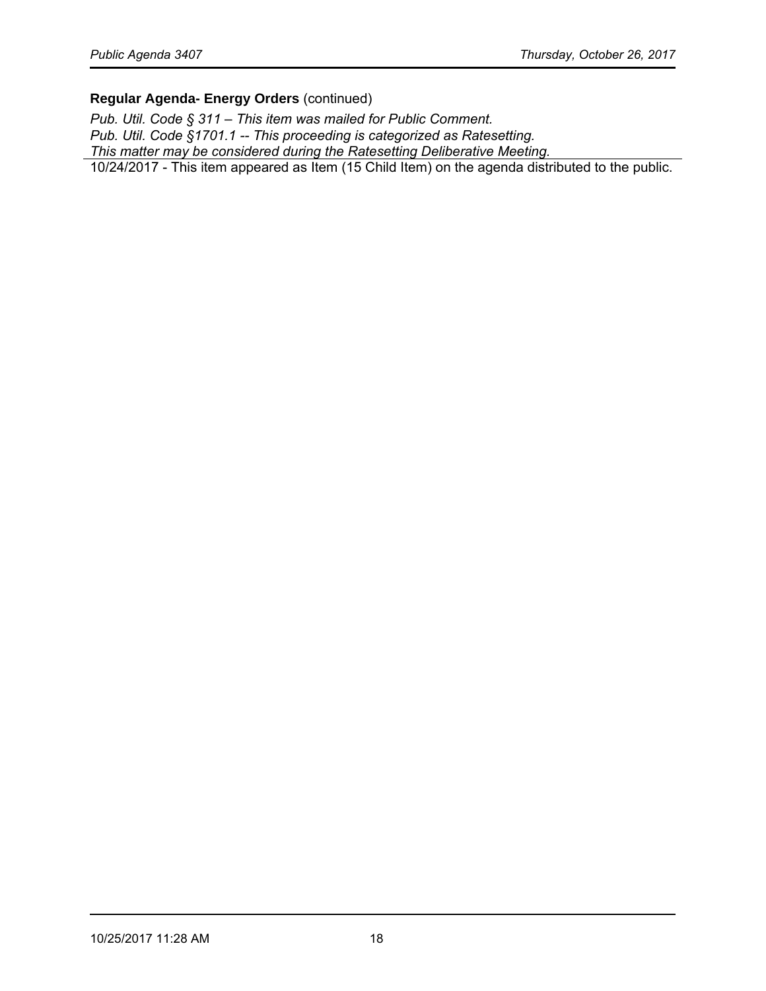*Pub. Util. Code § 311* – *This item was mailed for Public Comment. Pub. Util. Code §1701.1 -- This proceeding is categorized as Ratesetting. This matter may be considered during the Ratesetting Deliberative Meeting.* 10/24/2017 - This item appeared as Item (15 Child Item) on the agenda distributed to the public.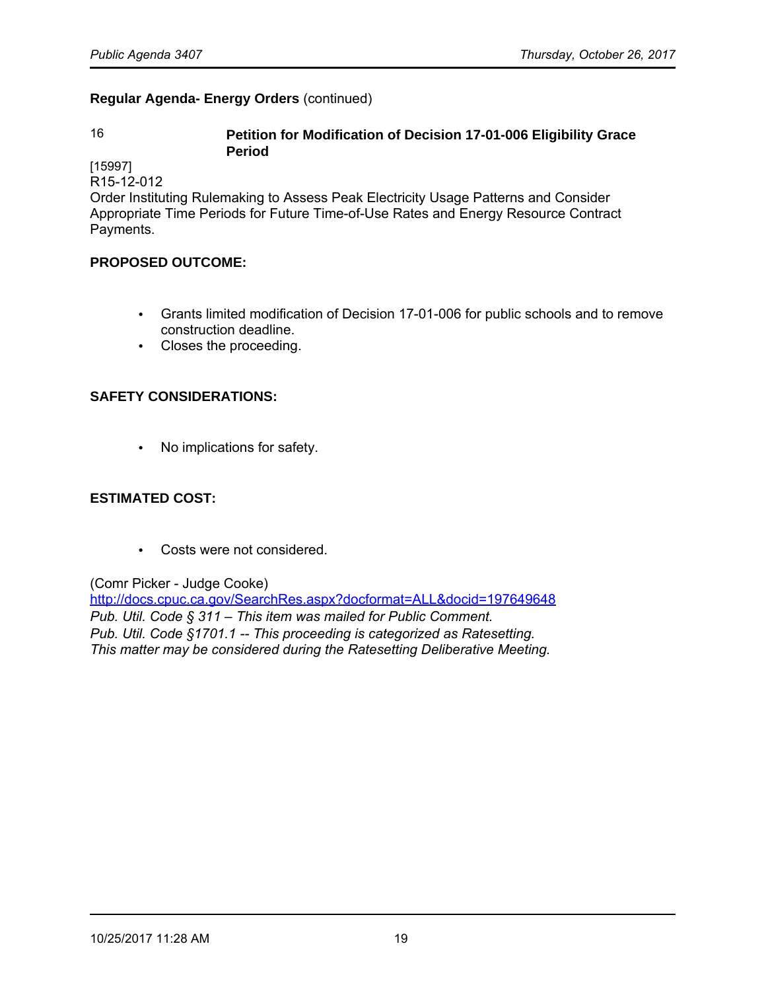#### 16 **Petition for Modification of Decision 17-01-006 Eligibility Grace Period**

[15997]

R15-12-012

Order Instituting Rulemaking to Assess Peak Electricity Usage Patterns and Consider Appropriate Time Periods for Future Time-of-Use Rates and Energy Resource Contract Payments.

#### **PROPOSED OUTCOME:**

- Grants limited modification of Decision 17-01-006 for public schools and to remove construction deadline.
- Closes the proceeding.

### **SAFETY CONSIDERATIONS:**

• No implications for safety.

#### **ESTIMATED COST:**

• Costs were not considered.

(Comr Picker - Judge Cooke)

<http://docs.cpuc.ca.gov/SearchRes.aspx?docformat=ALL&docid=197649648> *Pub. Util. Code § 311* – *This item was mailed for Public Comment. Pub. Util. Code §1701.1 -- This proceeding is categorized as Ratesetting. This matter may be considered during the Ratesetting Deliberative Meeting.*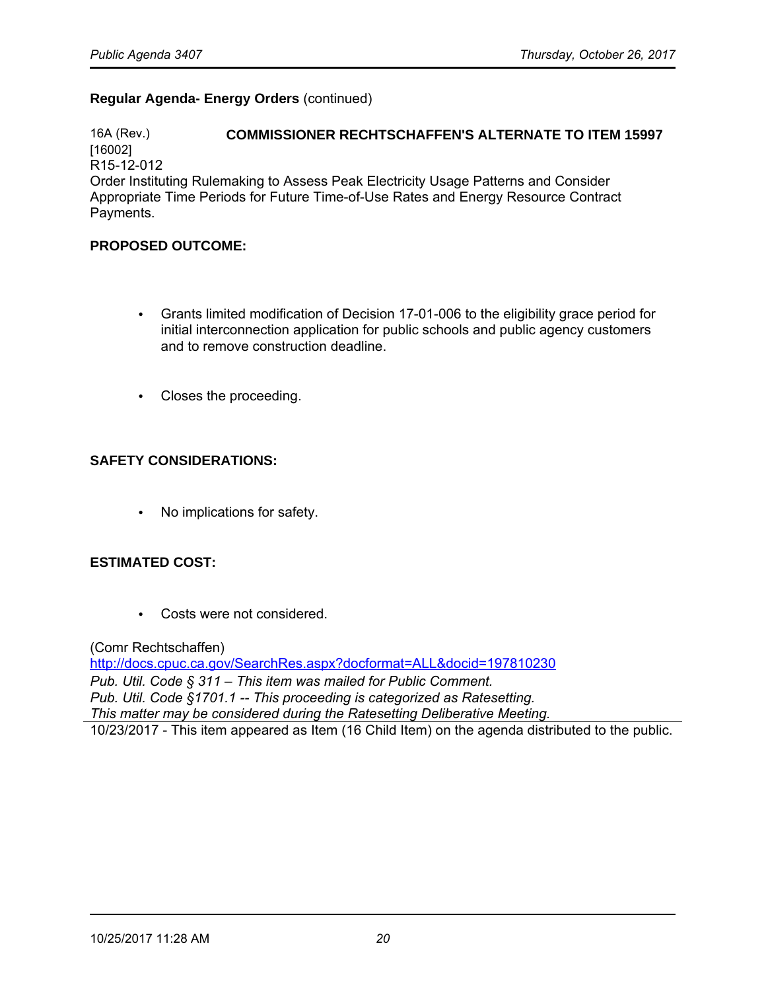16A (Rev.) **COMMISSIONER RECHTSCHAFFEN'S ALTERNATE TO ITEM 15997** [16002] R15-12-012 Order Instituting Rulemaking to Assess Peak Electricity Usage Patterns and Consider Appropriate Time Periods for Future Time-of-Use Rates and Energy Resource Contract Payments.

#### **PROPOSED OUTCOME:**

- Grants limited modification of Decision 17-01-006 to the eligibility grace period for initial interconnection application for public schools and public agency customers and to remove construction deadline.
- Closes the proceeding.

#### **SAFETY CONSIDERATIONS:**

• No implications for safety.

#### **ESTIMATED COST:**

• Costs were not considered.

(Comr Rechtschaffen)

<http://docs.cpuc.ca.gov/SearchRes.aspx?docformat=ALL&docid=197810230> *Pub. Util. Code § 311* – *This item was mailed for Public Comment. Pub. Util. Code §1701.1 -- This proceeding is categorized as Ratesetting. This matter may be considered during the Ratesetting Deliberative Meeting.* 10/23/2017 - This item appeared as Item (16 Child Item) on the agenda distributed to the public.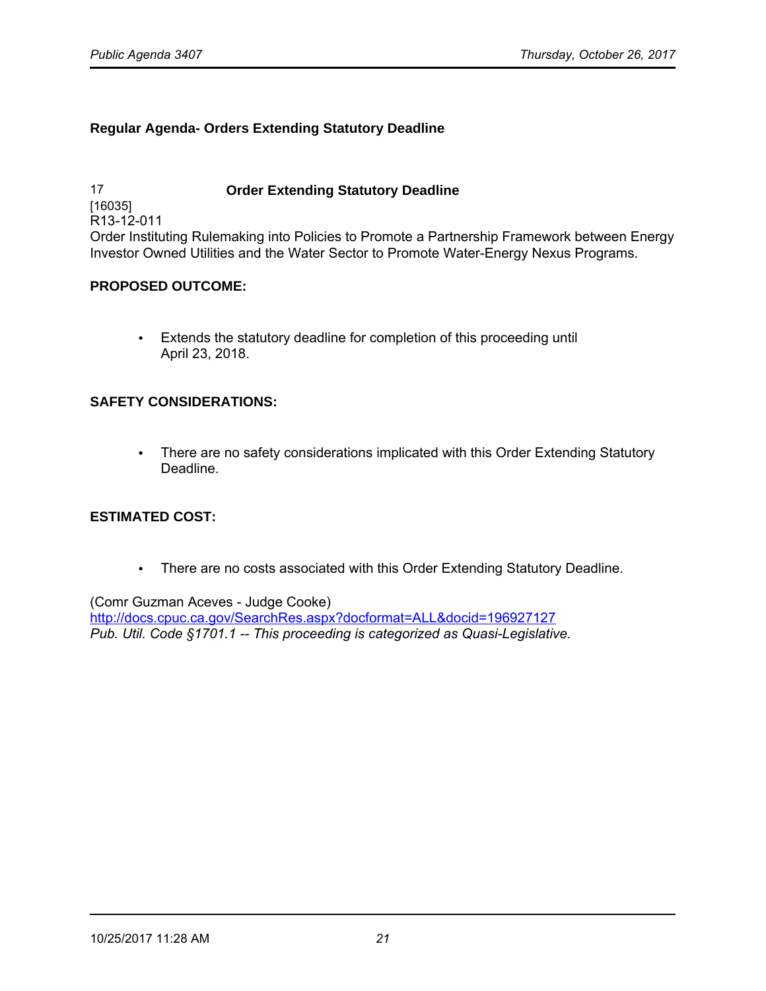#### **Regular Agenda- Orders Extending Statutory Deadline**

17 **Order Extending Statutory Deadline** [16035] R13-12-011 Order Instituting Rulemaking into Policies to Promote a Partnership Framework between Energy Investor Owned Utilities and the Water Sector to Promote Water-Energy Nexus Programs.

#### **PROPOSED OUTCOME:**

• Extends the statutory deadline for completion of this proceeding until April 23, 2018.

#### **SAFETY CONSIDERATIONS:**

• There are no safety considerations implicated with this Order Extending Statutory Deadline.

#### **ESTIMATED COST:**

• There are no costs associated with this Order Extending Statutory Deadline.

(Comr Guzman Aceves - Judge Cooke) <http://docs.cpuc.ca.gov/SearchRes.aspx?docformat=ALL&docid=196927127> *Pub. Util. Code §1701.1 -- This proceeding is categorized as Quasi-Legislative.*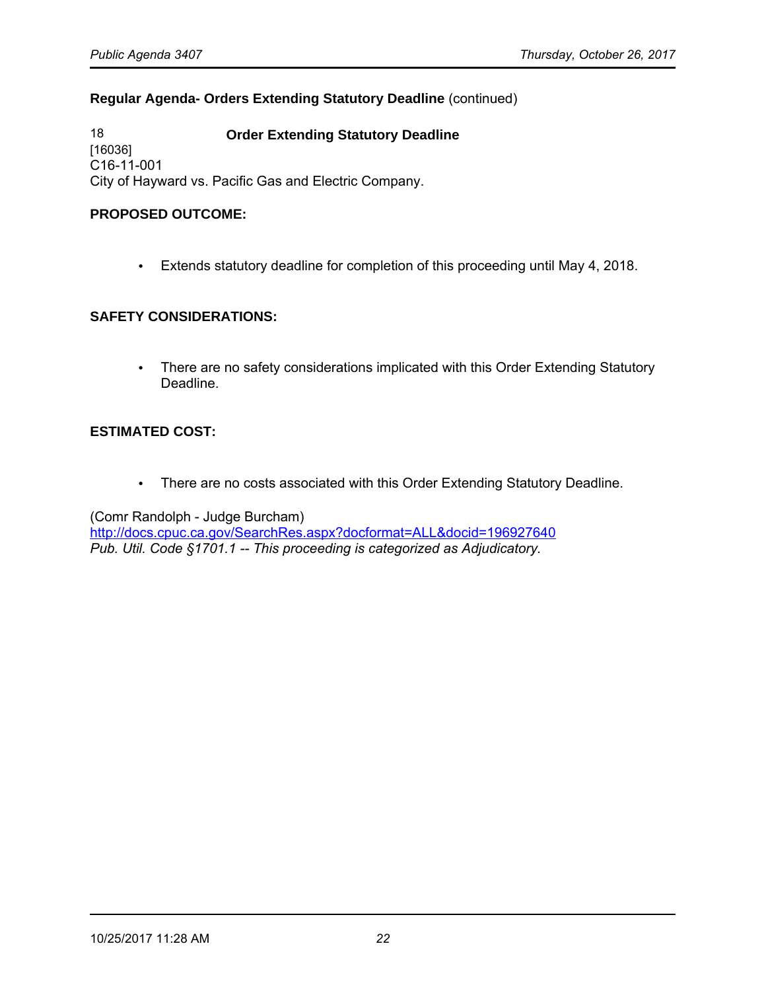#### **Regular Agenda- Orders Extending Statutory Deadline** (continued)

18 **Order Extending Statutory Deadline** [16036] C16-11-001 City of Hayward vs. Pacific Gas and Electric Company.

#### **PROPOSED OUTCOME:**

• Extends statutory deadline for completion of this proceeding until May 4, 2018.

#### **SAFETY CONSIDERATIONS:**

• There are no safety considerations implicated with this Order Extending Statutory Deadline.

#### **ESTIMATED COST:**

• There are no costs associated with this Order Extending Statutory Deadline.

(Comr Randolph - Judge Burcham)

<http://docs.cpuc.ca.gov/SearchRes.aspx?docformat=ALL&docid=196927640> *Pub. Util. Code §1701.1 -- This proceeding is categorized as Adjudicatory.*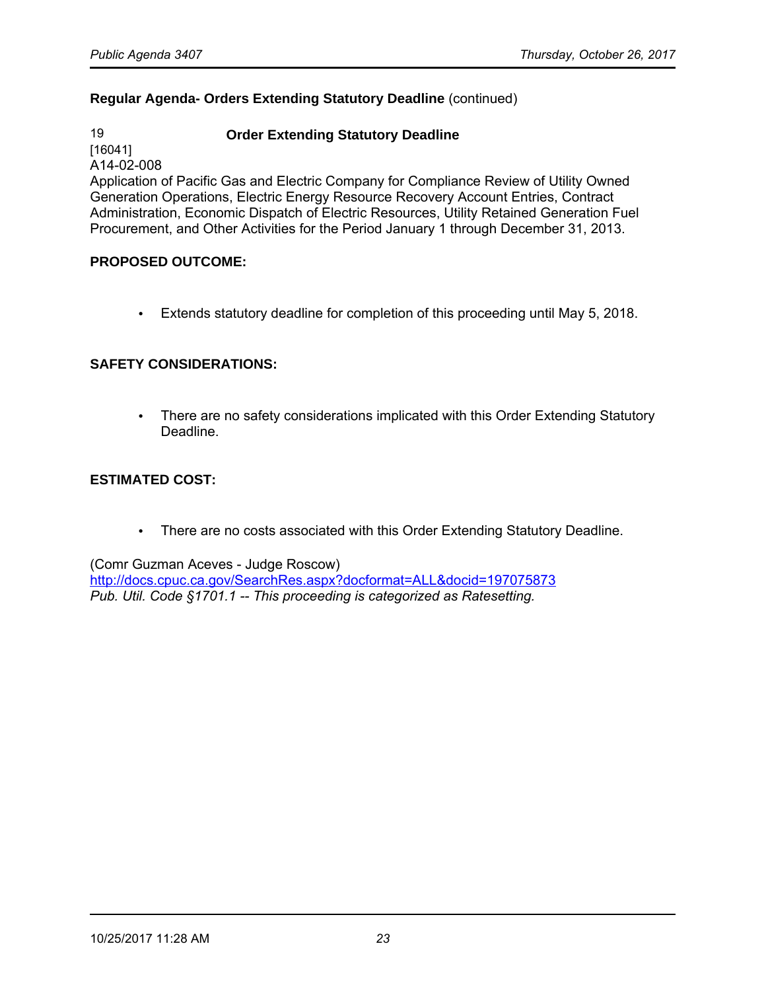#### **Regular Agenda- Orders Extending Statutory Deadline** (continued)

#### 19 **Order Extending Statutory Deadline**

[16041] A14-02-008

Application of Pacific Gas and Electric Company for Compliance Review of Utility Owned Generation Operations, Electric Energy Resource Recovery Account Entries, Contract Administration, Economic Dispatch of Electric Resources, Utility Retained Generation Fuel Procurement, and Other Activities for the Period January 1 through December 31, 2013.

#### **PROPOSED OUTCOME:**

• Extends statutory deadline for completion of this proceeding until May 5, 2018.

#### **SAFETY CONSIDERATIONS:**

• There are no safety considerations implicated with this Order Extending Statutory Deadline.

### **ESTIMATED COST:**

• There are no costs associated with this Order Extending Statutory Deadline.

(Comr Guzman Aceves - Judge Roscow)

<http://docs.cpuc.ca.gov/SearchRes.aspx?docformat=ALL&docid=197075873> *Pub. Util. Code §1701.1 -- This proceeding is categorized as Ratesetting.*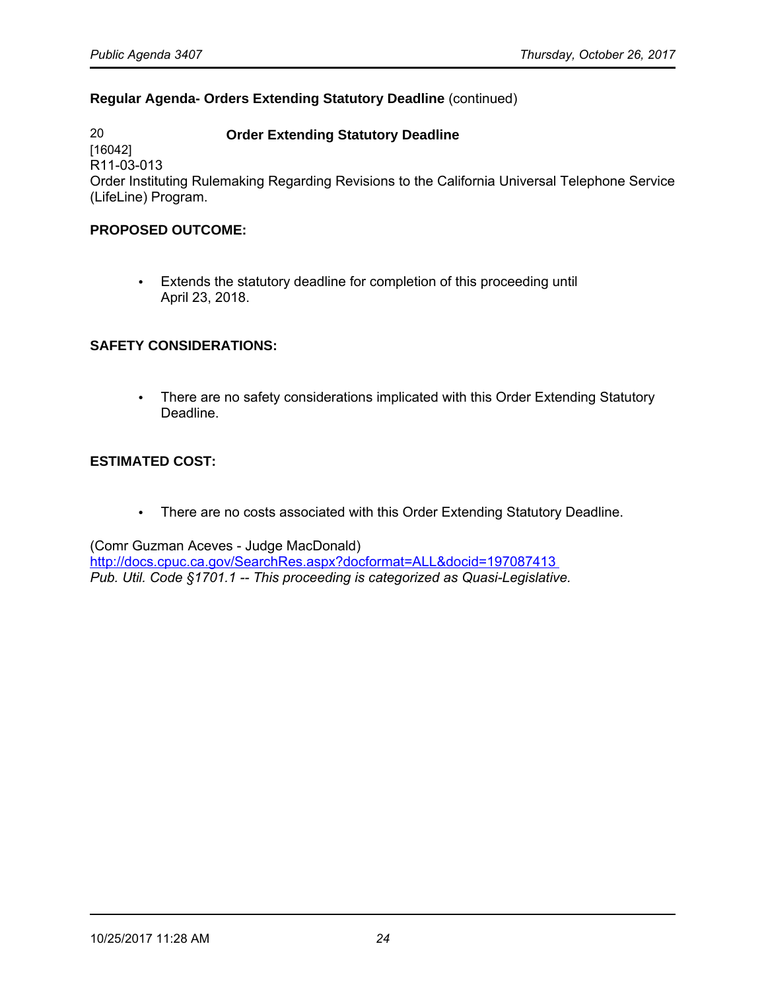### **Regular Agenda- Orders Extending Statutory Deadline** (continued)

20 **Order Extending Statutory Deadline**  [16042] R11-03-013 Order Instituting Rulemaking Regarding Revisions to the California Universal Telephone Service (LifeLine) Program.

#### **PROPOSED OUTCOME:**

• Extends the statutory deadline for completion of this proceeding until April 23, 2018.

#### **SAFETY CONSIDERATIONS:**

• There are no safety considerations implicated with this Order Extending Statutory Deadline.

#### **ESTIMATED COST:**

• There are no costs associated with this Order Extending Statutory Deadline.

(Comr Guzman Aceves - Judge MacDonald)

<http://docs.cpuc.ca.gov/SearchRes.aspx?docformat=ALL&docid=197087413> *Pub. Util. Code §1701.1 -- This proceeding is categorized as Quasi-Legislative.*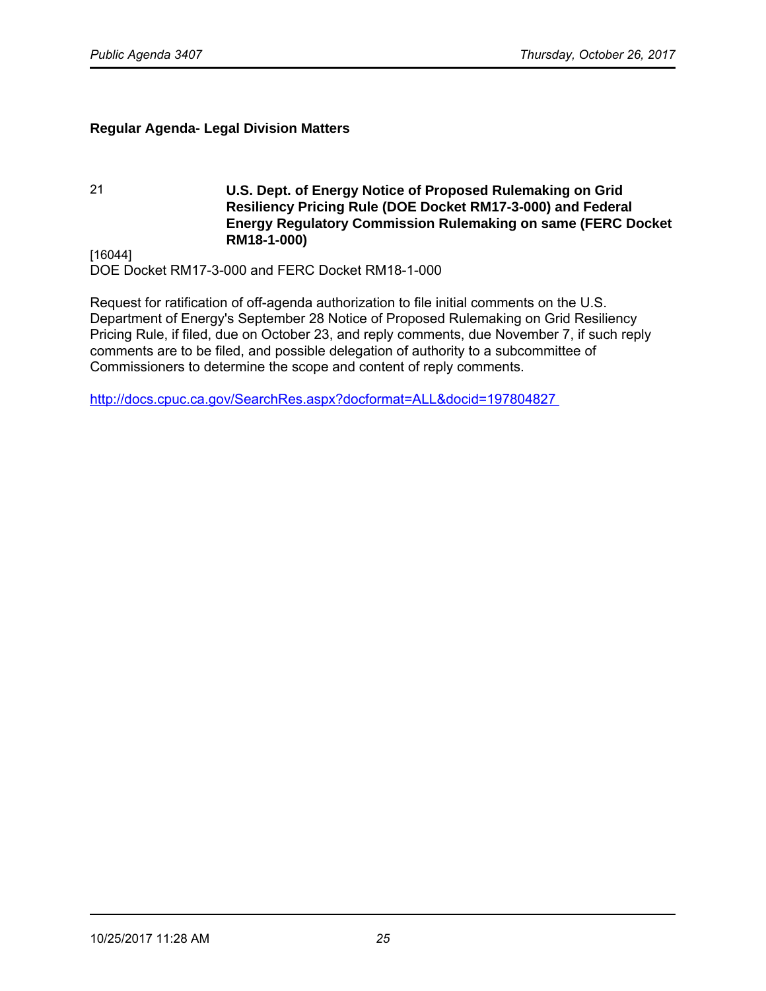### **Regular Agenda- Legal Division Matters**

21 **U.S. Dept. of Energy Notice of Proposed Rulemaking on Grid Resiliency Pricing Rule (DOE Docket RM17-3-000) and Federal Energy Regulatory Commission Rulemaking on same (FERC Docket RM18-1-000)**

[16044] DOE Docket RM17-3-000 and FERC Docket RM18-1-000

Request for ratification of off-agenda authorization to file initial comments on the U.S. Department of Energy's September 28 Notice of Proposed Rulemaking on Grid Resiliency Pricing Rule, if filed, due on October 23, and reply comments, due November 7, if such reply comments are to be filed, and possible delegation of authority to a subcommittee of Commissioners to determine the scope and content of reply comments.

<http://docs.cpuc.ca.gov/SearchRes.aspx?docformat=ALL&docid=197804827>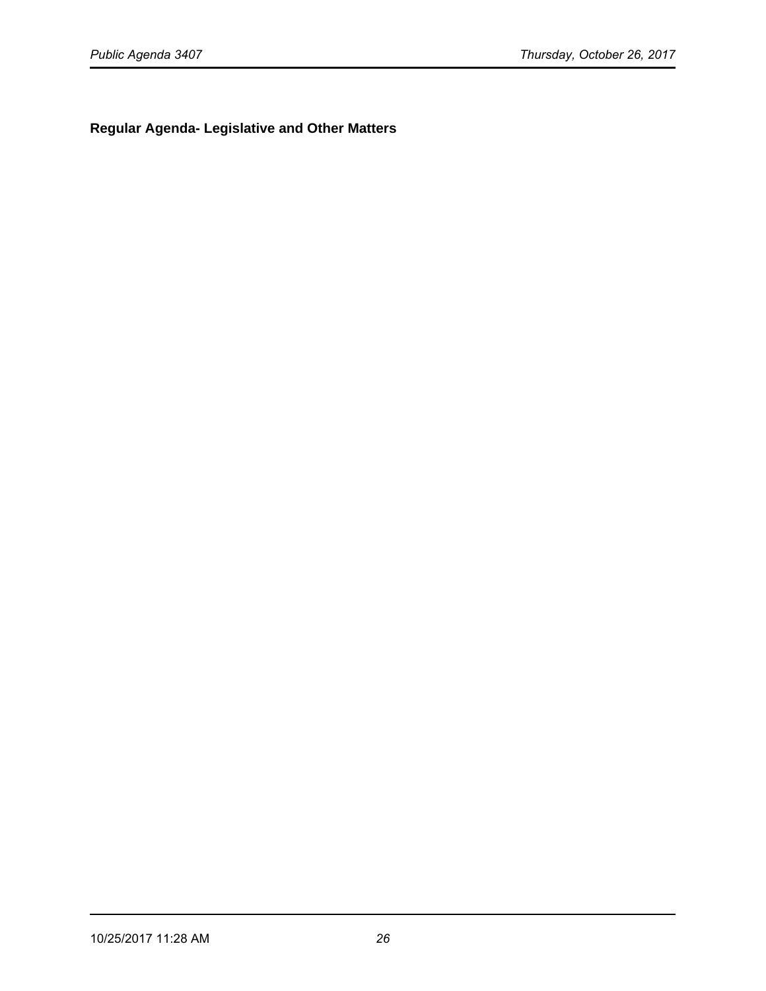**Regular Agenda- Legislative and Other Matters**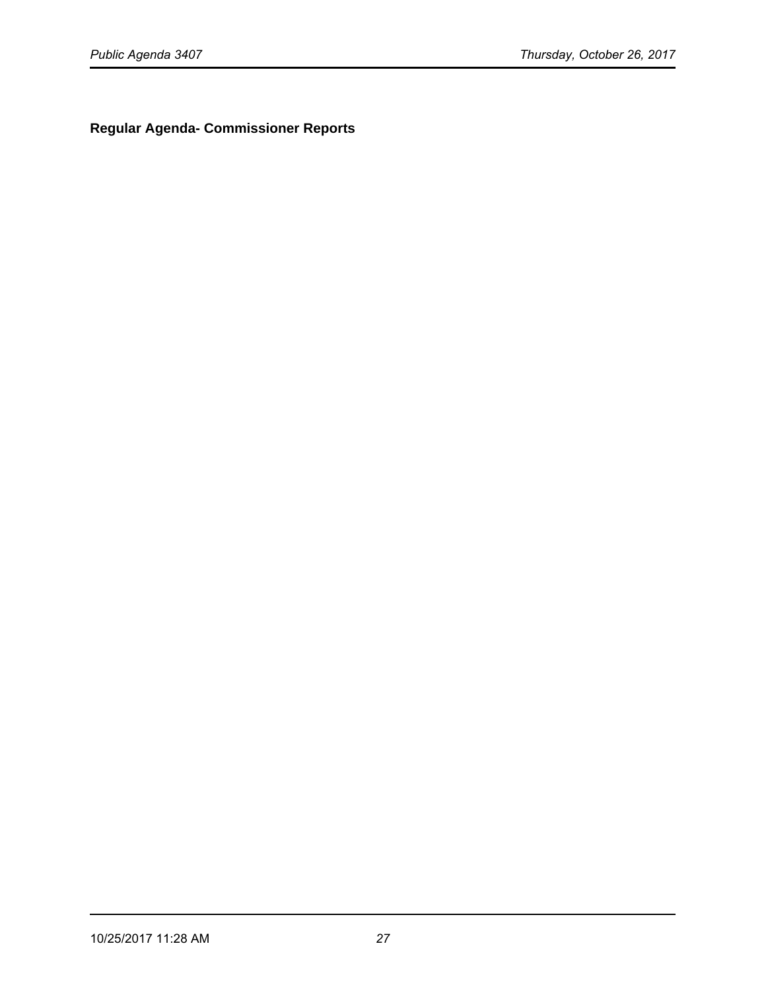**Regular Agenda- Commissioner Reports**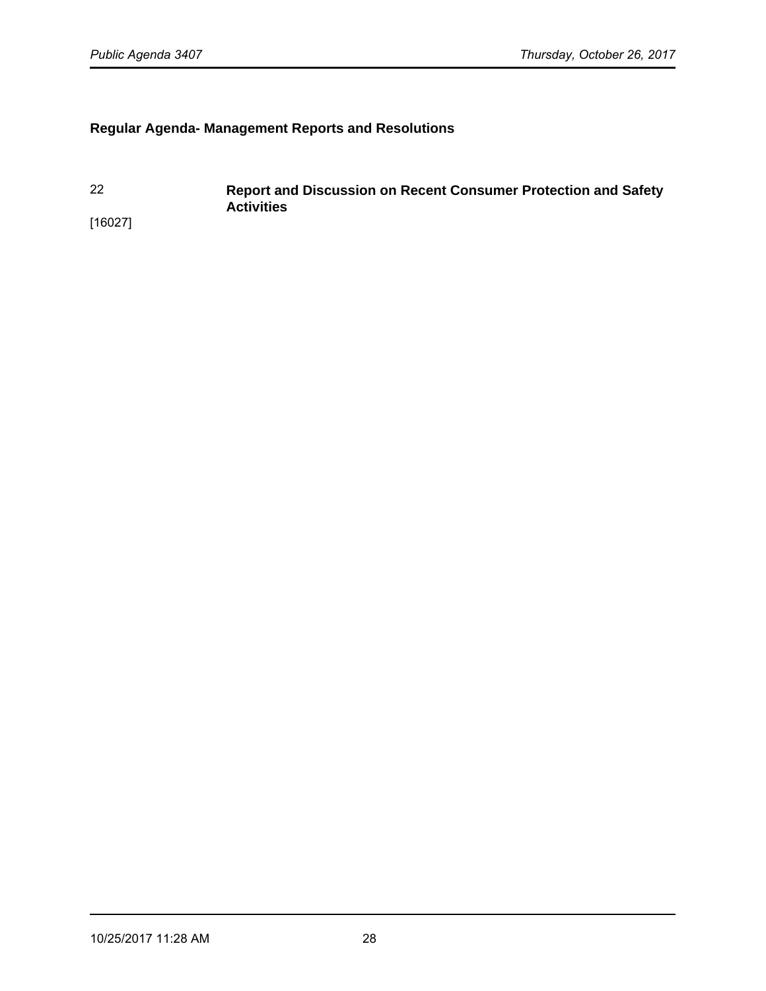# **Regular Agenda- Management Reports and Resolutions**

22 **Report and Discussion on Recent Consumer Protection and Safety Activities**  [16027]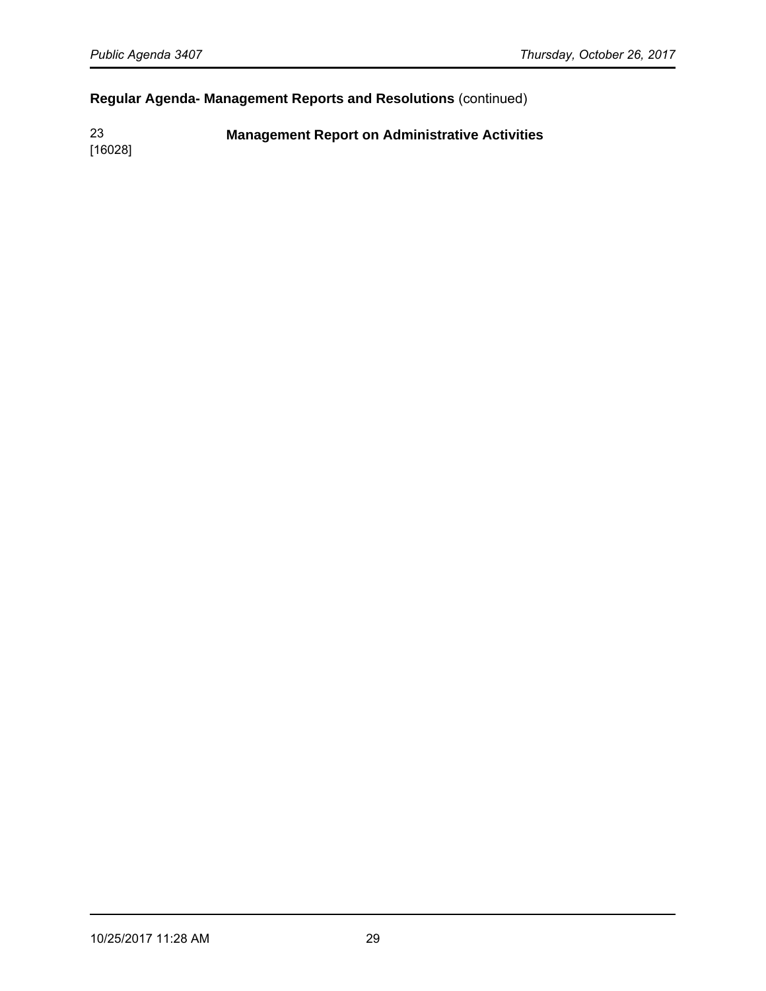# **Regular Agenda- Management Reports and Resolutions** (continued)

23 **Management Report on Administrative Activities**

[16028]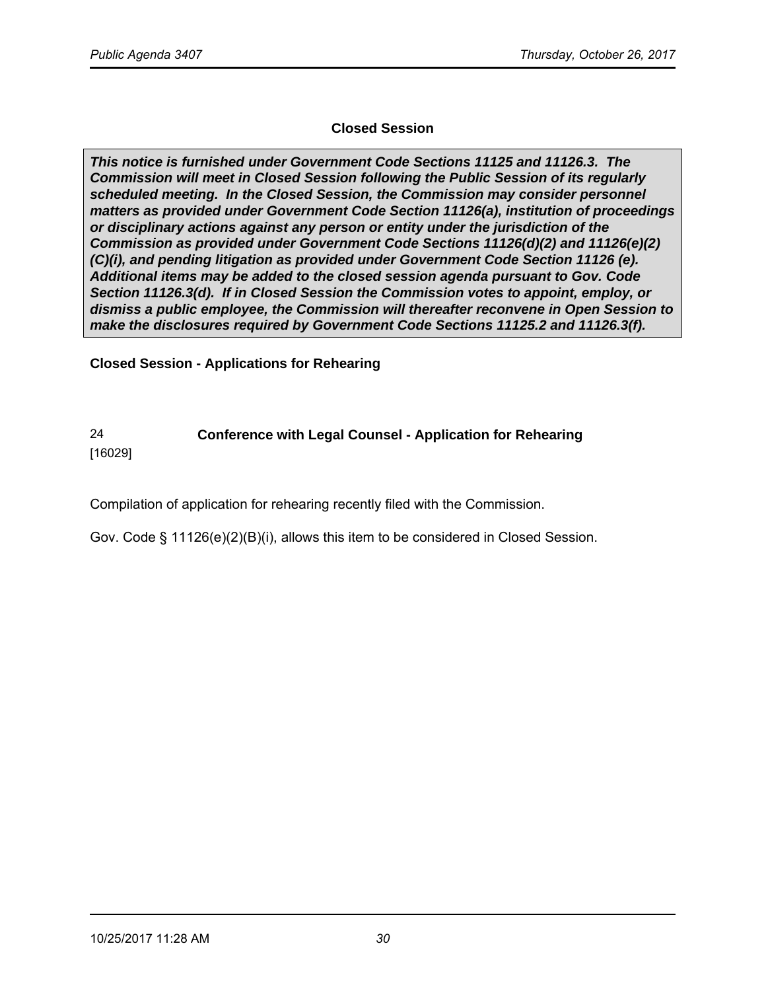## **Closed Session**

**This notice is furnished under Government Code Sections 11125 and 11126.3. The Commission will meet in Closed Session following the Public Session of its regularly scheduled meeting. In the Closed Session, the Commission may consider personnel matters as provided under Government Code Section 11126(a), institution of proceedings or disciplinary actions against any person or entity under the jurisdiction of the Commission as provided under Government Code Sections 11126(d)(2) and 11126(e)(2) (C)(i), and pending litigation as provided under Government Code Section 11126 (e). Additional items may be added to the closed session agenda pursuant to Gov. Code Section 11126.3(d). If in Closed Session the Commission votes to appoint, employ, or dismiss a public employee, the Commission will thereafter reconvene in Open Session to make the disclosures required by Government Code Sections 11125.2 and 11126.3(f).**

**Closed Session - Applications for Rehearing** 

# 24 **Conference with Legal Counsel - Application for Rehearing**

[16029]

Compilation of application for rehearing recently filed with the Commission.

Gov. Code § 11126(e)(2)(B)(i), allows this item to be considered in Closed Session.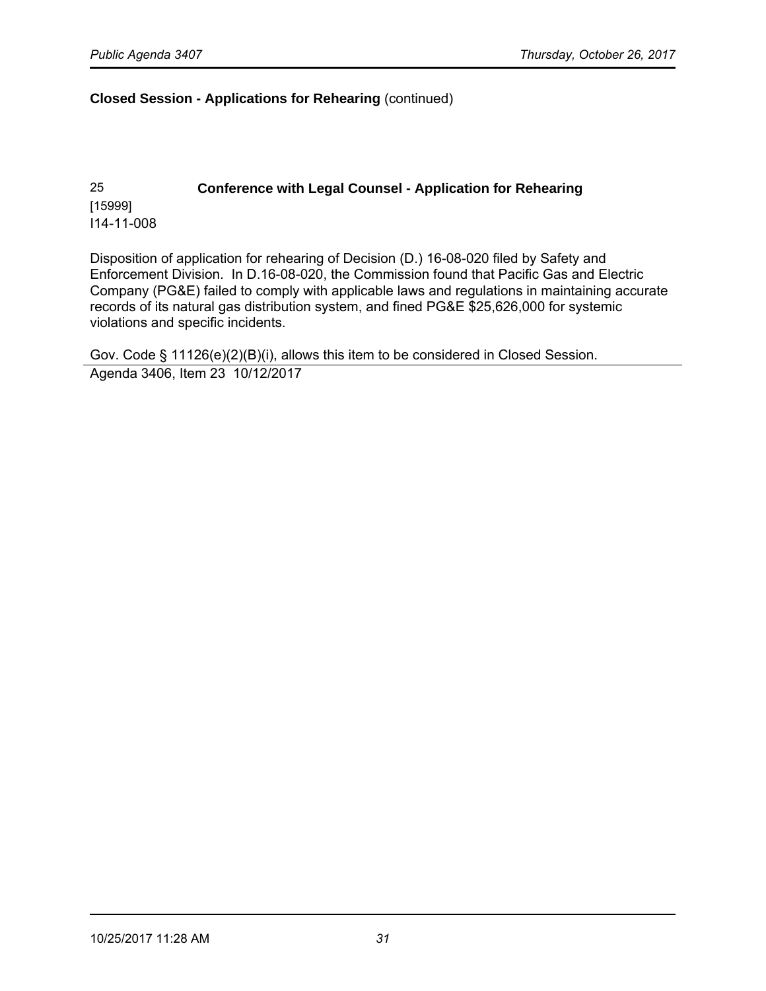#### **Closed Session - Applications for Rehearing** (continued)

25 **Conference with Legal Counsel - Application for Rehearing** [15999] I14-11-008

Disposition of application for rehearing of Decision (D.) 16-08-020 filed by Safety and Enforcement Division. In D.16-08-020, the Commission found that Pacific Gas and Electric Company (PG&E) failed to comply with applicable laws and regulations in maintaining accurate records of its natural gas distribution system, and fined PG&E \$25,626,000 for systemic violations and specific incidents.

Gov. Code § 11126(e)(2)(B)(i), allows this item to be considered in Closed Session. Agenda 3406, Item 23 10/12/2017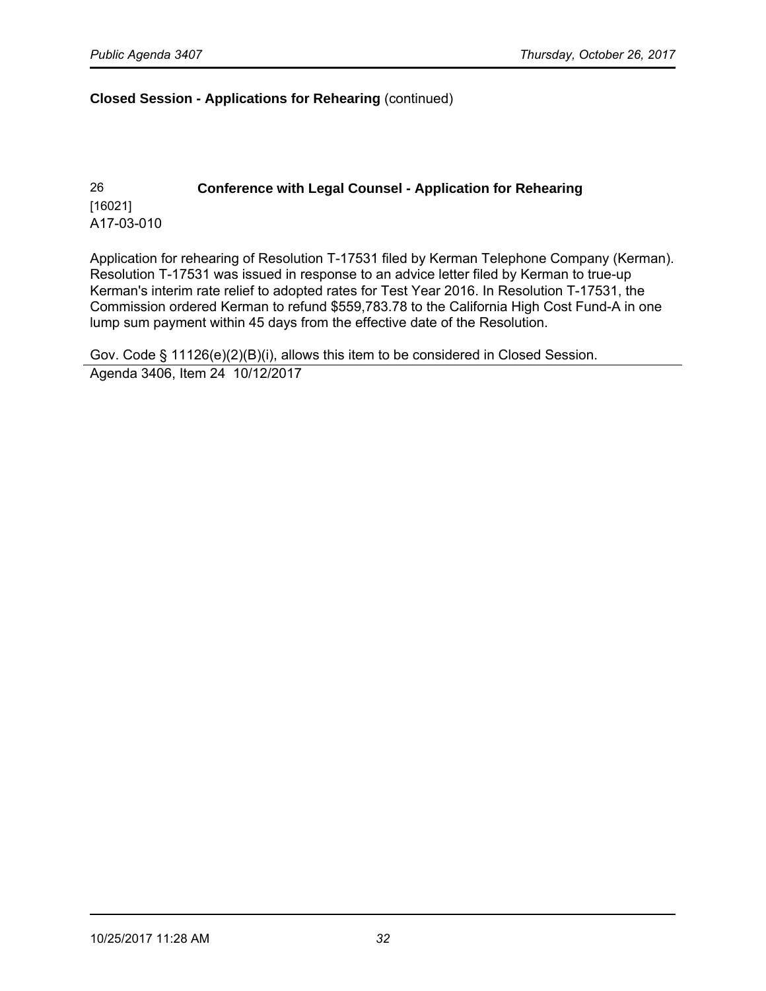#### **Closed Session - Applications for Rehearing** (continued)

26 **Conference with Legal Counsel - Application for Rehearing** [16021] A17-03-010

Application for rehearing of Resolution T-17531 filed by Kerman Telephone Company (Kerman). Resolution T-17531 was issued in response to an advice letter filed by Kerman to true-up Kerman's interim rate relief to adopted rates for Test Year 2016. In Resolution T-17531, the Commission ordered Kerman to refund \$559,783.78 to the California High Cost Fund-A in one lump sum payment within 45 days from the effective date of the Resolution.

Gov. Code § 11126(e)(2)(B)(i), allows this item to be considered in Closed Session. Agenda 3406, Item 24 10/12/2017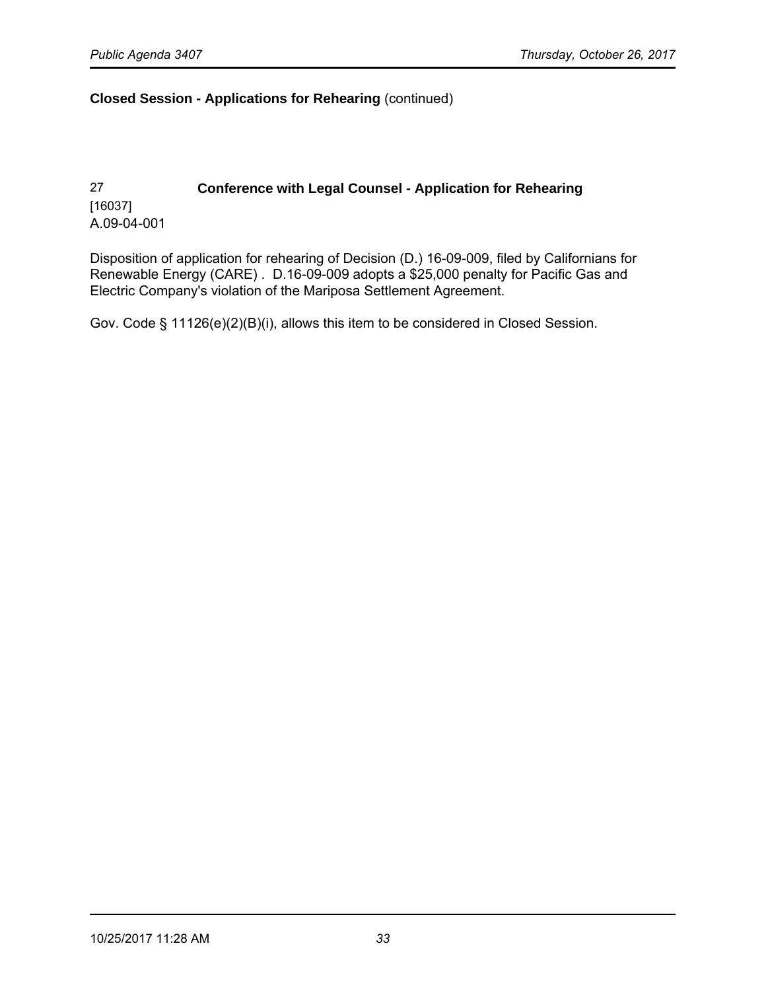#### **Closed Session - Applications for Rehearing** (continued)

# 27 **Conference with Legal Counsel - Application for Rehearing** [16037] A.09-04-001

Disposition of application for rehearing of Decision (D.) 16-09-009, filed by Californians for Renewable Energy (CARE) . D.16-09-009 adopts a \$25,000 penalty for Pacific Gas and Electric Company's violation of the Mariposa Settlement Agreement.

Gov. Code § 11126(e)(2)(B)(i), allows this item to be considered in Closed Session.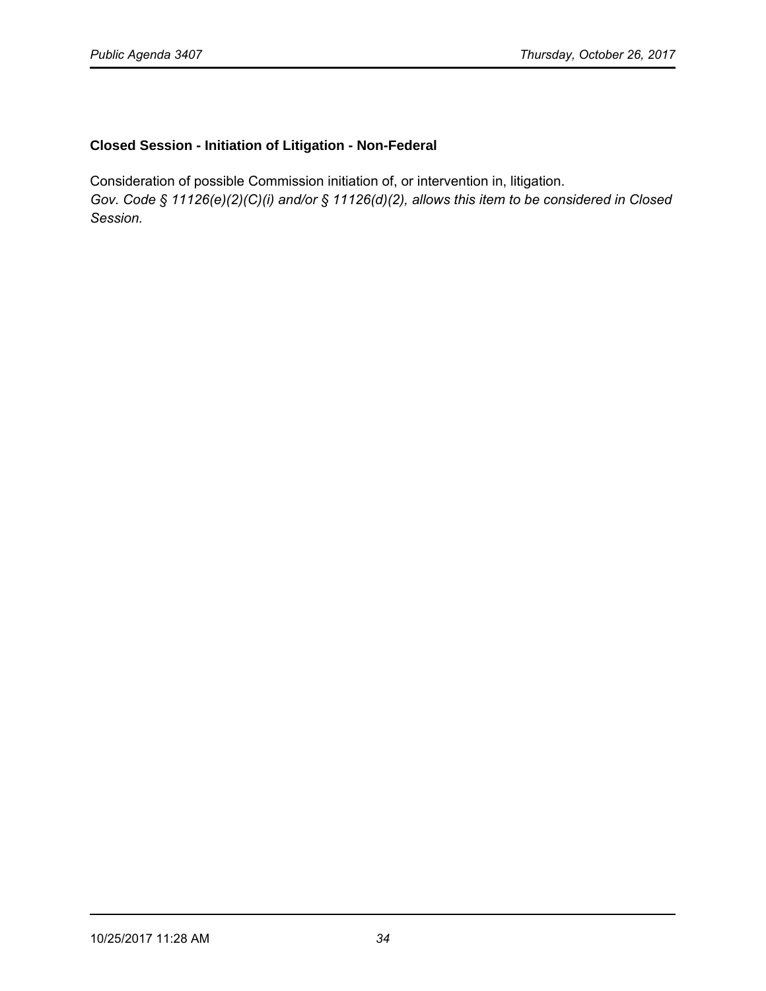### **Closed Session - Initiation of Litigation - Non-Federal**

Consideration of possible Commission initiation of, or intervention in, litigation. *Gov. Code § 11126(e)(2)(C)(i) and/or § 11126(d)(2), allows this item to be considered in Closed Session.*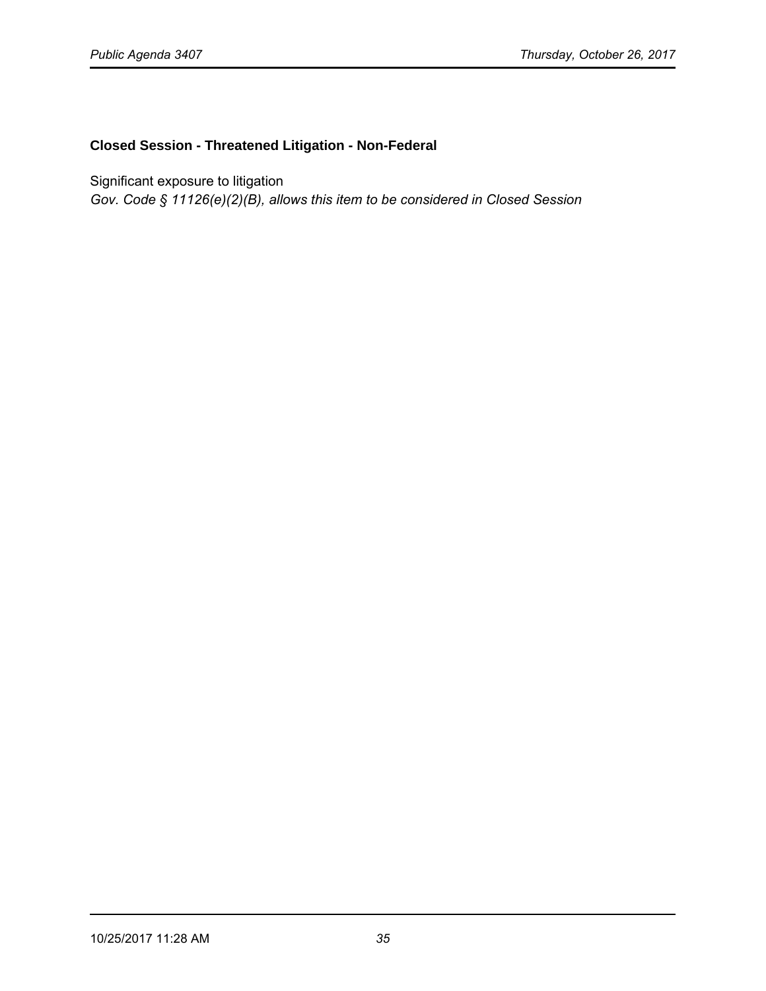#### **Closed Session - Threatened Litigation - Non-Federal**

Significant exposure to litigation

*Gov. Code § 11126(e)(2)(B), allows this item to be considered in Closed Session*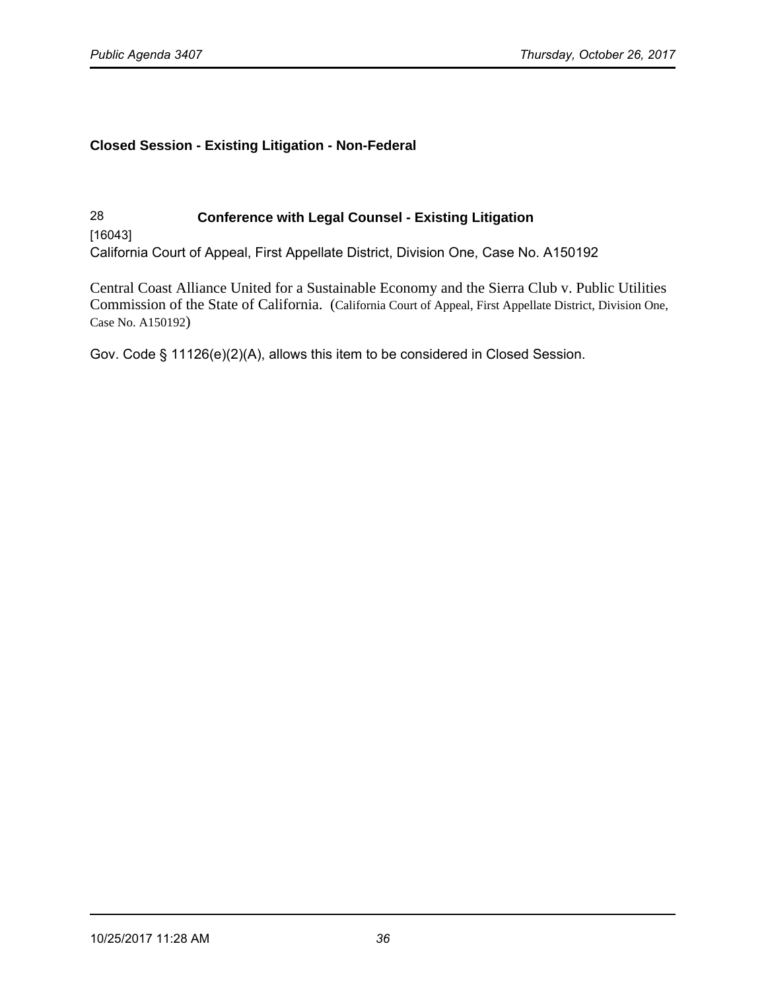## **Closed Session - Existing Litigation - Non-Federal**

28 **Conference with Legal Counsel - Existing Litigation**  [16043] California Court of Appeal, First Appellate District, Division One, Case No. A150192

Central Coast Alliance United for a Sustainable Economy and the Sierra Club v. Public Utilities Commission of the State of California. (California Court of Appeal, First Appellate District, Division One, Case No. A150192)

Gov. Code § 11126(e)(2)(A), allows this item to be considered in Closed Session.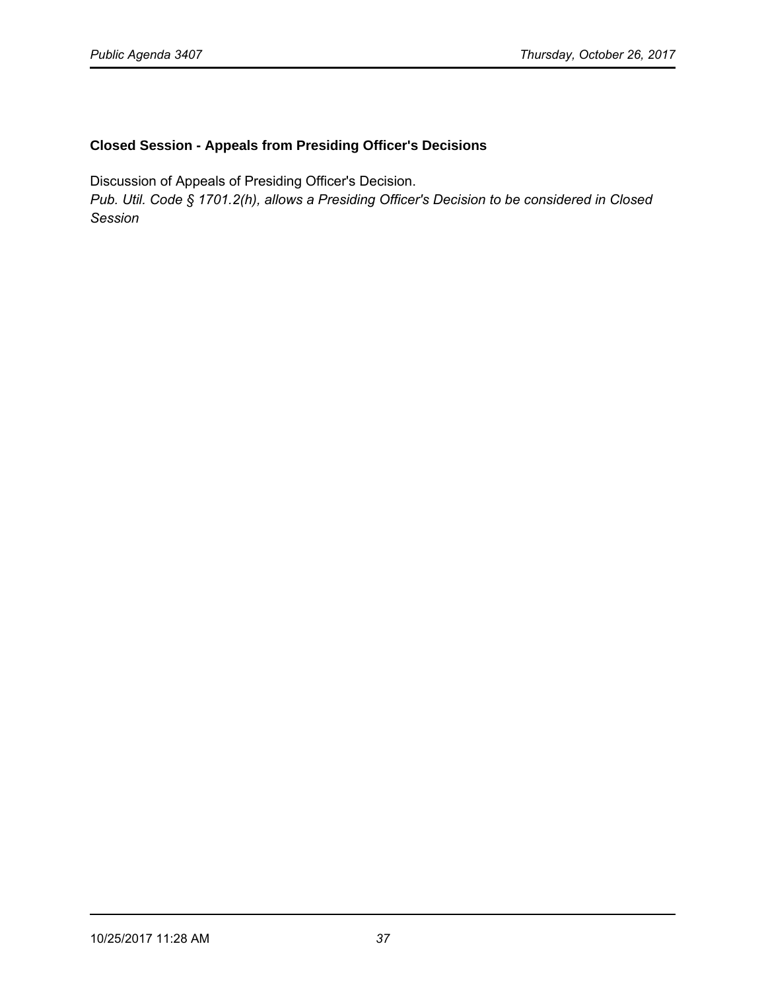## **Closed Session - Appeals from Presiding Officer's Decisions**

Discussion of Appeals of Presiding Officer's Decision.

*Pub. Util. Code § 1701.2(h), allows a Presiding Officer's Decision to be considered in Closed Session*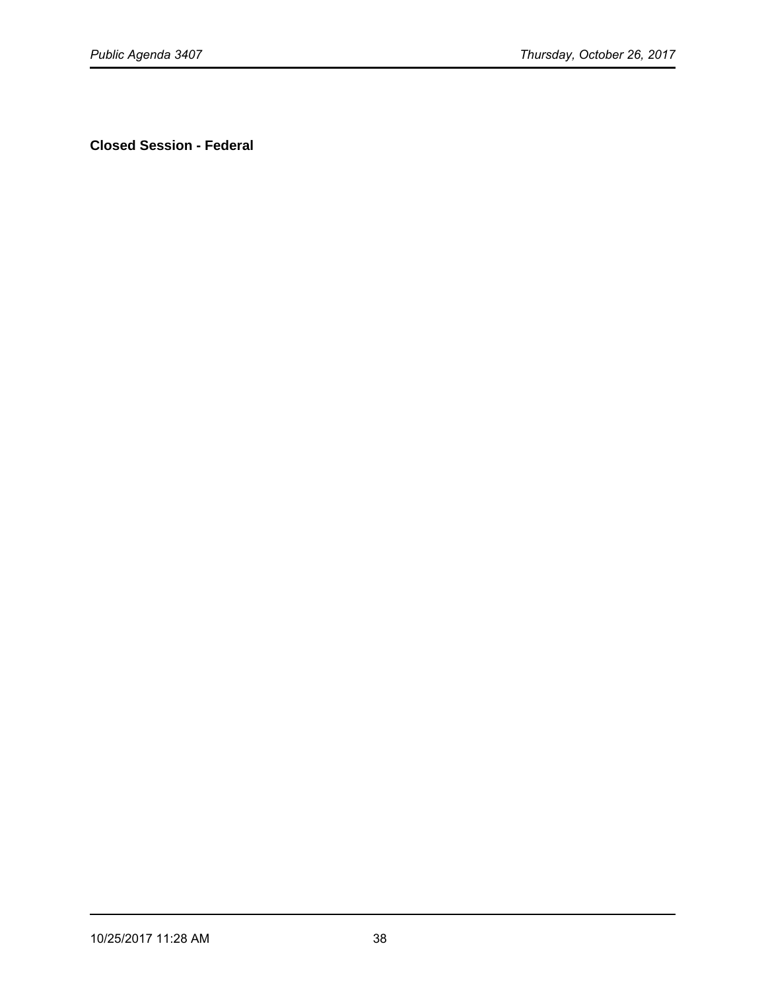**Closed Session - Federal**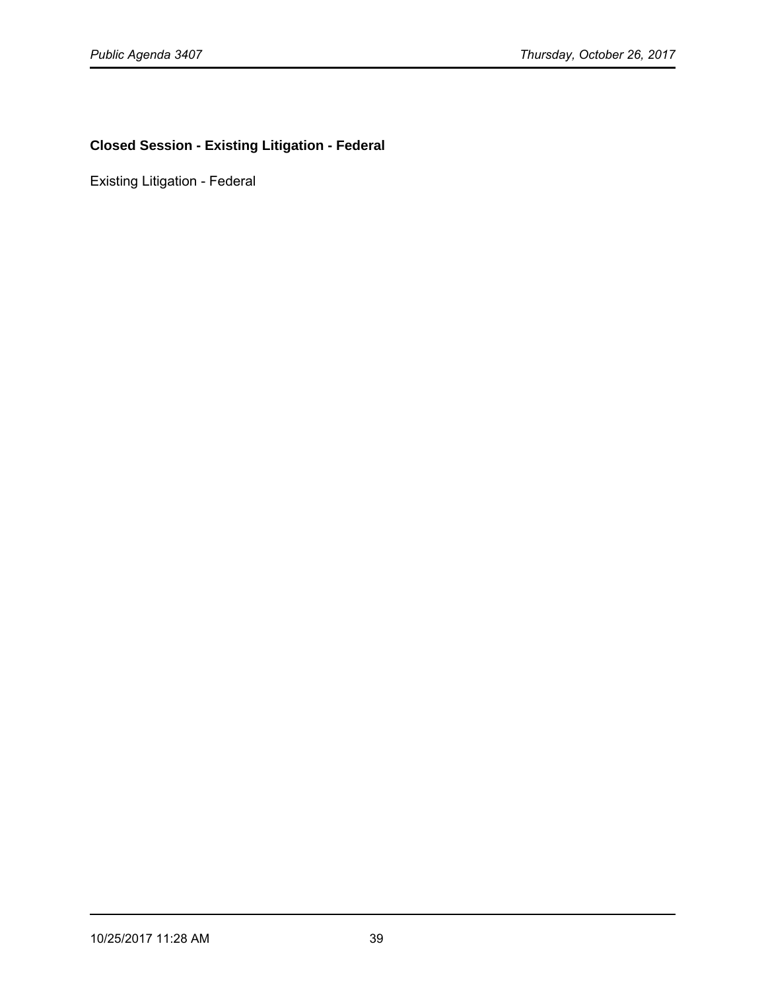# **Closed Session - Existing Litigation - Federal**

Existing Litigation - Federal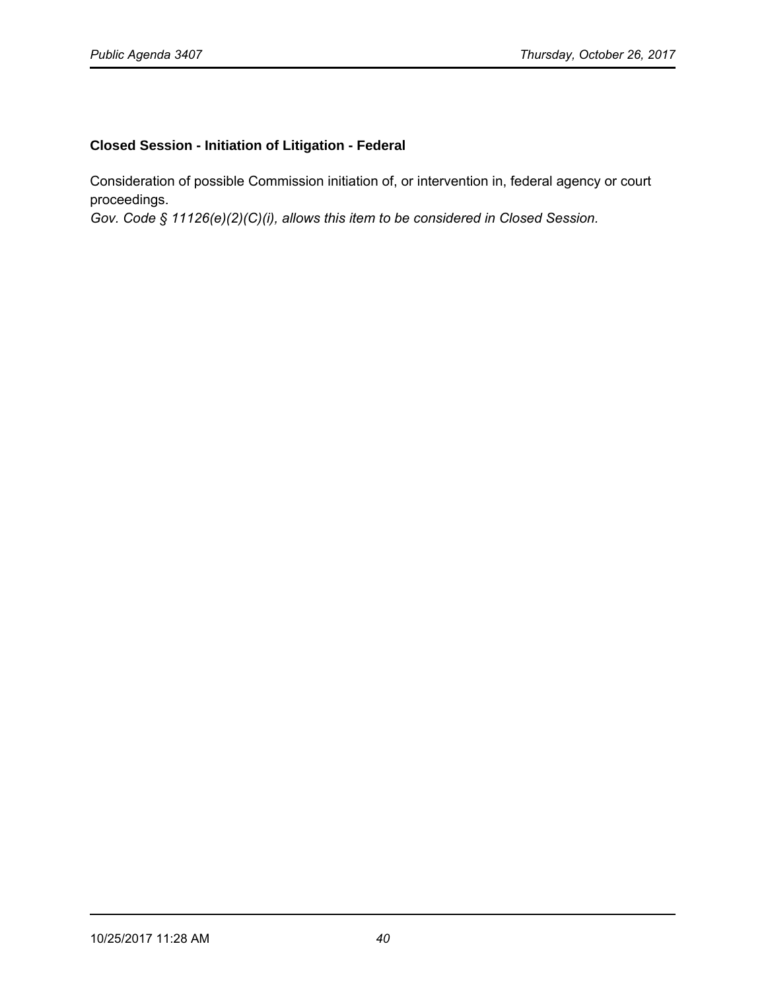# **Closed Session - Initiation of Litigation - Federal**

Consideration of possible Commission initiation of, or intervention in, federal agency or court proceedings.

*Gov. Code § 11126(e)(2)(C)(i), allows this item to be considered in Closed Session.*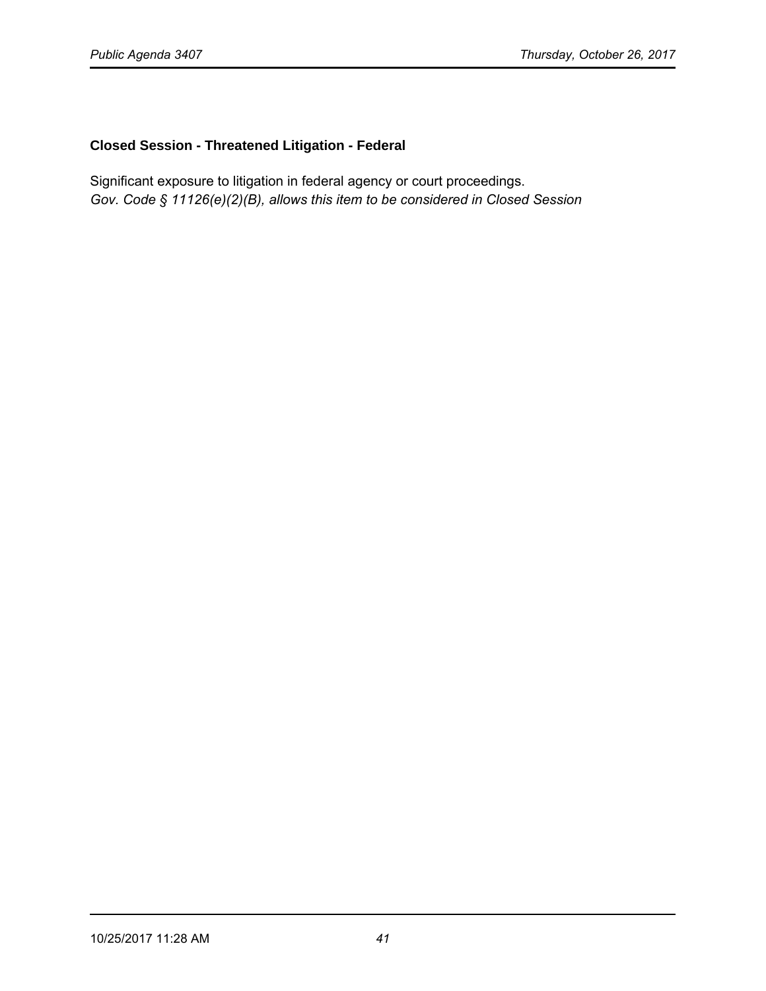### **Closed Session - Threatened Litigation - Federal**

Significant exposure to litigation in federal agency or court proceedings. *Gov. Code § 11126(e)(2)(B), allows this item to be considered in Closed Session*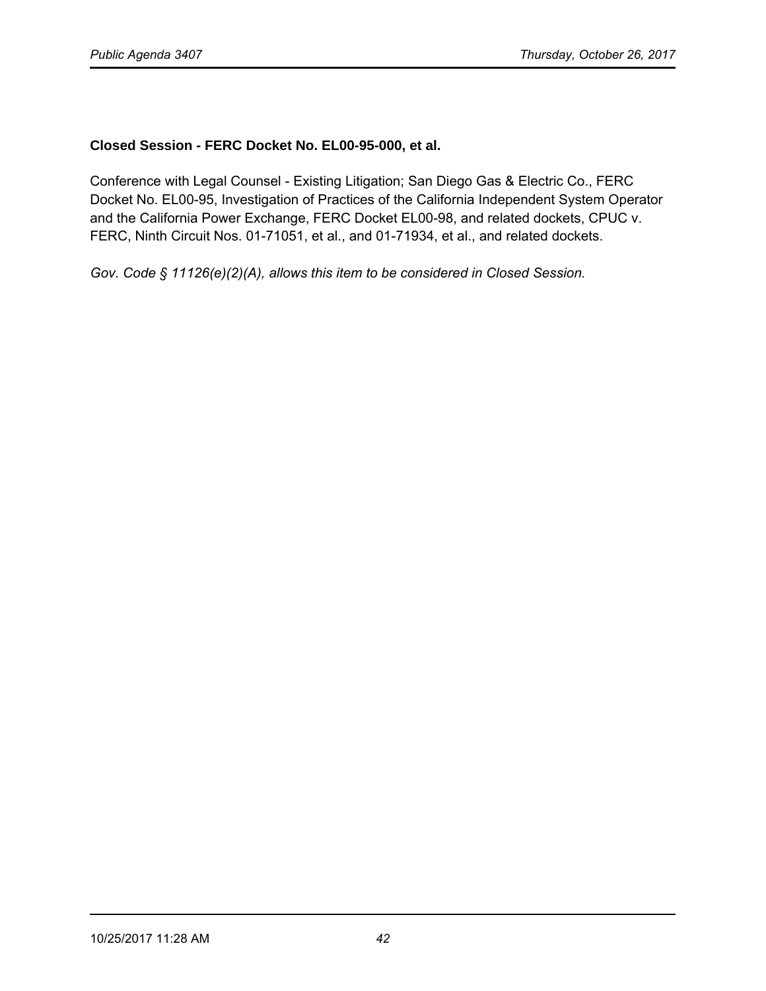### **Closed Session - FERC Docket No. EL00-95-000, et al.**

Conference with Legal Counsel - Existing Litigation; San Diego Gas & Electric Co., FERC Docket No. EL00-95, Investigation of Practices of the California Independent System Operator and the California Power Exchange, FERC Docket EL00-98, and related dockets, CPUC v. FERC, Ninth Circuit Nos. 01-71051, et al., and 01-71934, et al., and related dockets.

*Gov. Code § 11126(e)(2)(A), allows this item to be considered in Closed Session.*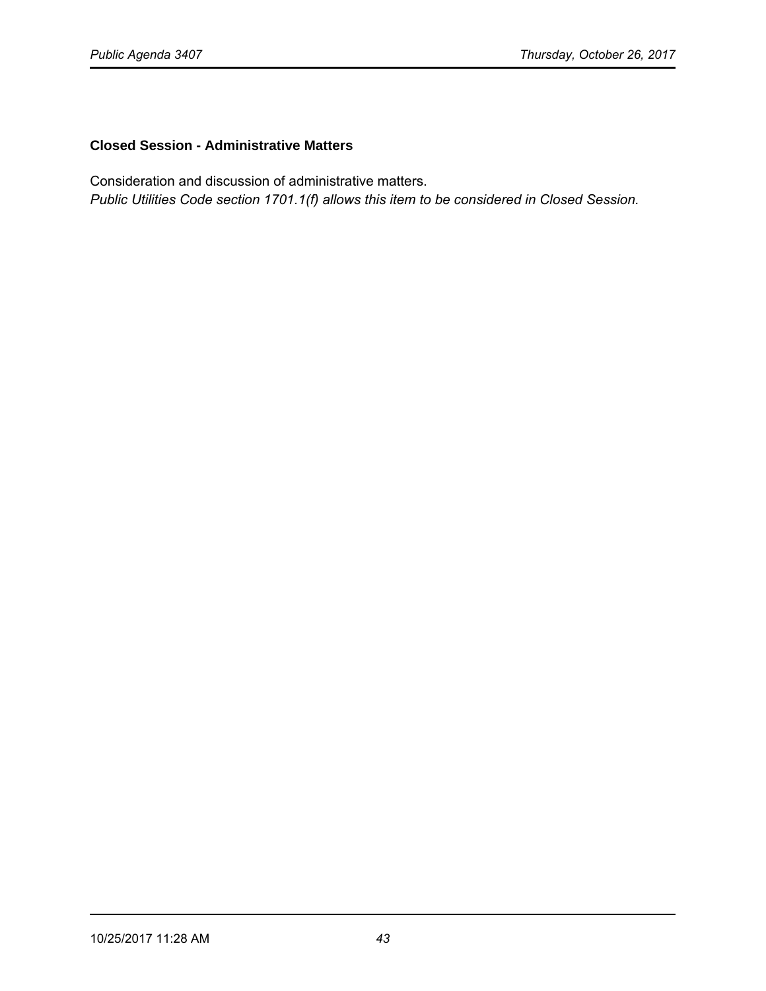## **Closed Session - Administrative Matters**

Consideration and discussion of administrative matters.

*Public Utilities Code section 1701.1(f) allows this item to be considered in Closed Session.*